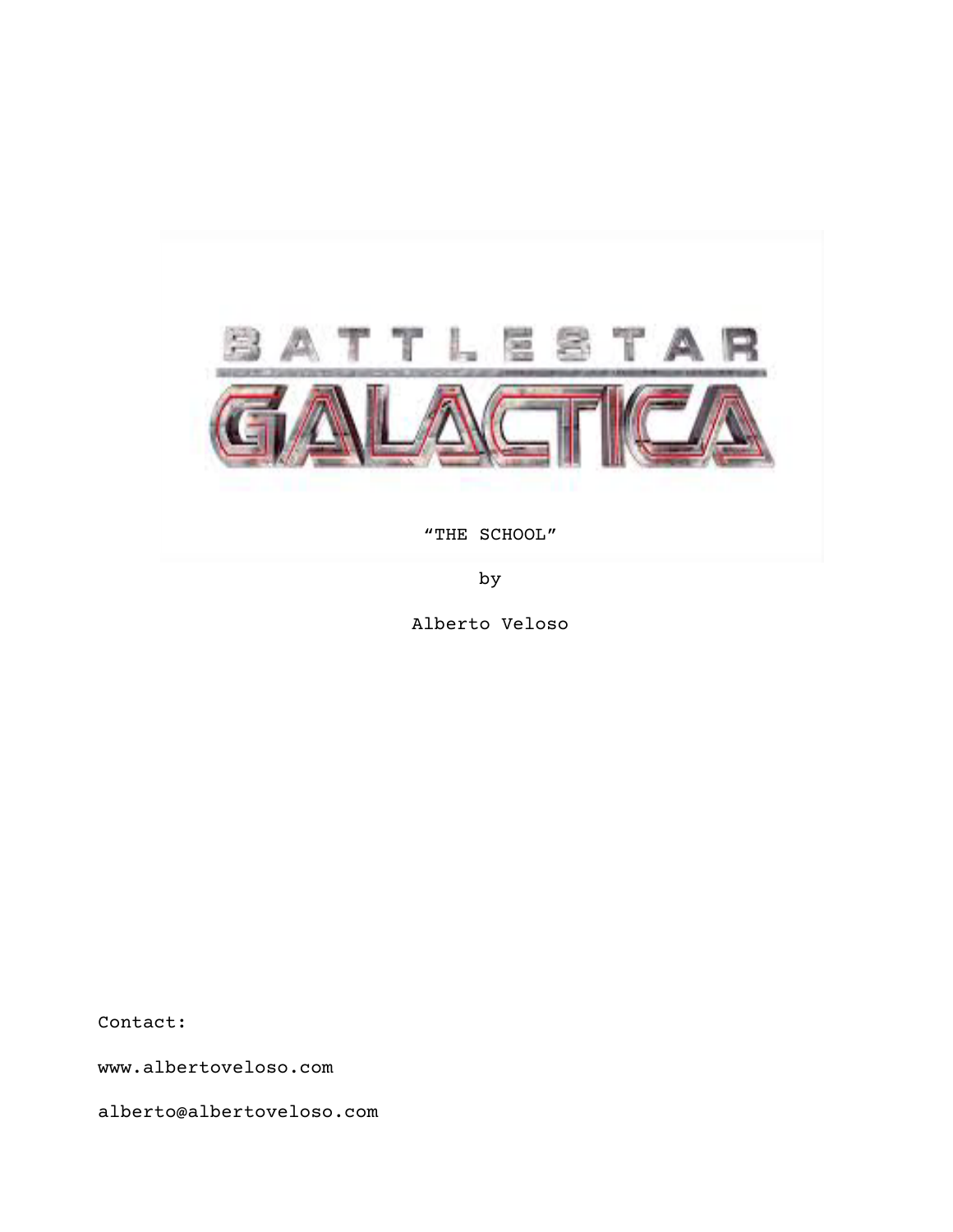

"THE SCHOOL"

by

Alberto Veloso

Contact:

www.albertoveloso.com

alberto@albertoveloso.com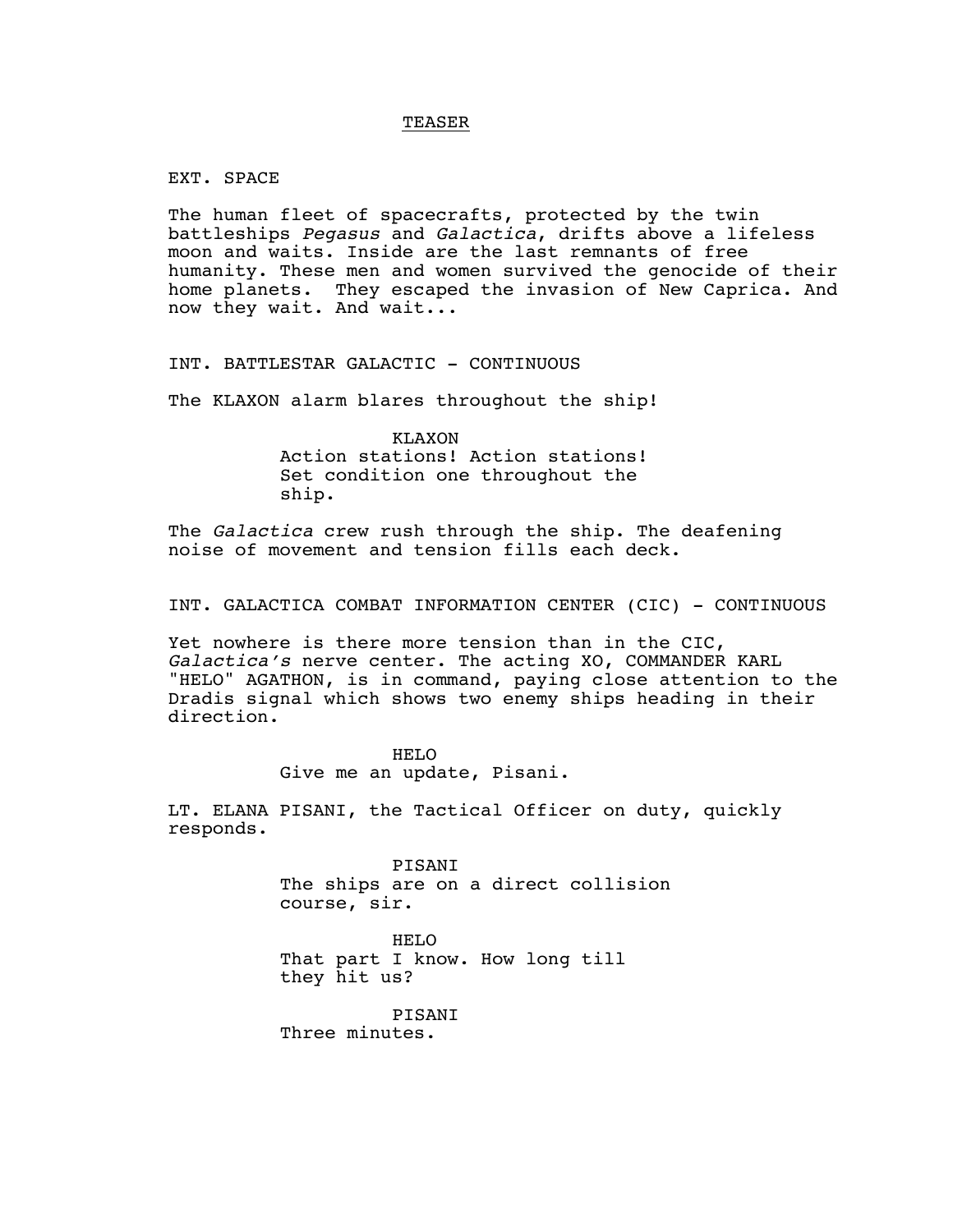### TEASER

EXT. SPACE

The human fleet of spacecrafts, protected by the twin battleships *Pegasus* and *Galactica*, drifts above a lifeless moon and waits. Inside are the last remnants of free humanity. These men and women survived the genocide of their home planets. They escaped the invasion of New Caprica. And now they wait. And wait...

INT. BATTLESTAR GALACTIC - CONTINUOUS

The KLAXON alarm blares throughout the ship!

KLAXON Action stations! Action stations! Set condition one throughout the ship.

The *Galactica* crew rush through the ship. The deafening noise of movement and tension fills each deck.

INT. GALACTICA COMBAT INFORMATION CENTER (CIC) - CONTINUOUS

Yet nowhere is there more tension than in the CIC, *Galactica's* nerve center. The acting XO, COMMANDER KARL "HELO" AGATHON, is in command, paying close attention to the Dradis signal which shows two enemy ships heading in their direction.

> HELO Give me an update, Pisani.

LT. ELANA PISANI, the Tactical Officer on duty, quickly responds.

> PISANI The ships are on a direct collision course, sir.

HELO That part I know. How long till they hit us?

PISANI Three minutes.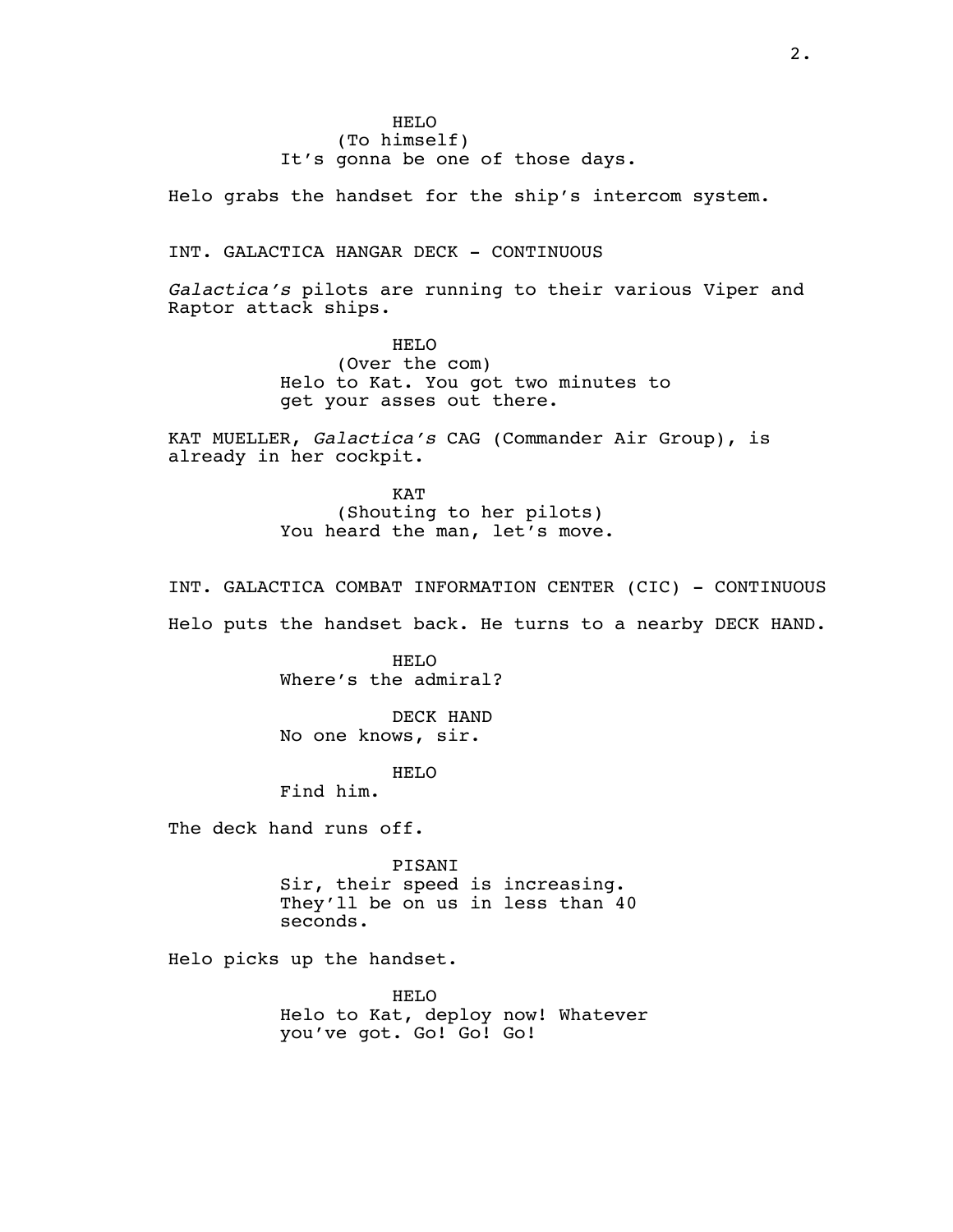HELO (To himself) It's gonna be one of those days.

Helo grabs the handset for the ship's intercom system.

INT. GALACTICA HANGAR DECK - CONTINUOUS

*Galactica's* pilots are running to their various Viper and Raptor attack ships.

> HELO (Over the com) Helo to Kat. You got two minutes to get your asses out there.

KAT MUELLER, *Galactica's* CAG (Commander Air Group), is already in her cockpit.

> KAT (Shouting to her pilots) You heard the man, let's move.

INT. GALACTICA COMBAT INFORMATION CENTER (CIC) - CONTINUOUS Helo puts the handset back. He turns to a nearby DECK HAND.

> HELO Where's the admiral?

DECK HAND No one knows, sir.

HELO

Find him.

The deck hand runs off.

PISANI Sir, their speed is increasing. They'll be on us in less than 40 seconds.

Helo picks up the handset.

HELO Helo to Kat, deploy now! Whatever you've got. Go! Go! Go!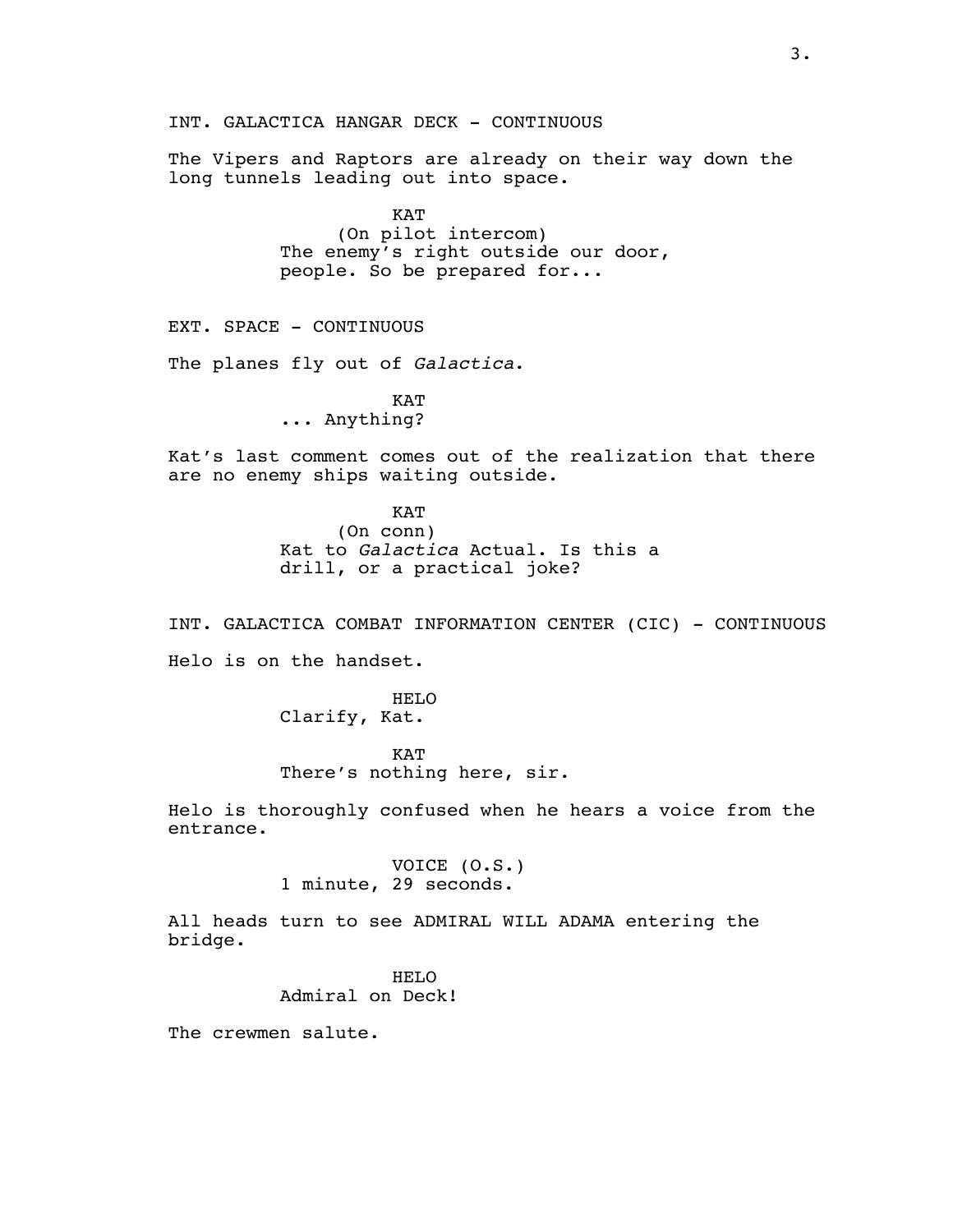INT. GALACTICA HANGAR DECK - CONTINUOUS

The Vipers and Raptors are already on their way down the long tunnels leading out into space.

> KAT (On pilot intercom) The enemy's right outside our door, people. So be prepared for...

EXT. SPACE - CONTINUOUS

The planes fly out of *Galactica*.

**KAT** ... Anything?

Kat's last comment comes out of the realization that there are no enemy ships waiting outside.

> KAT (On conn) Kat to *Galactica* Actual. Is this a drill, or a practical joke?

INT. GALACTICA COMBAT INFORMATION CENTER (CIC) - CONTINUOUS Helo is on the handset.

> HELO Clarify, Kat.

KAT There's nothing here, sir.

Helo is thoroughly confused when he hears a voice from the entrance.

> VOICE (O.S.) 1 minute, 29 seconds.

All heads turn to see ADMIRAL WILL ADAMA entering the bridge.

> HELO Admiral on Deck!

The crewmen salute.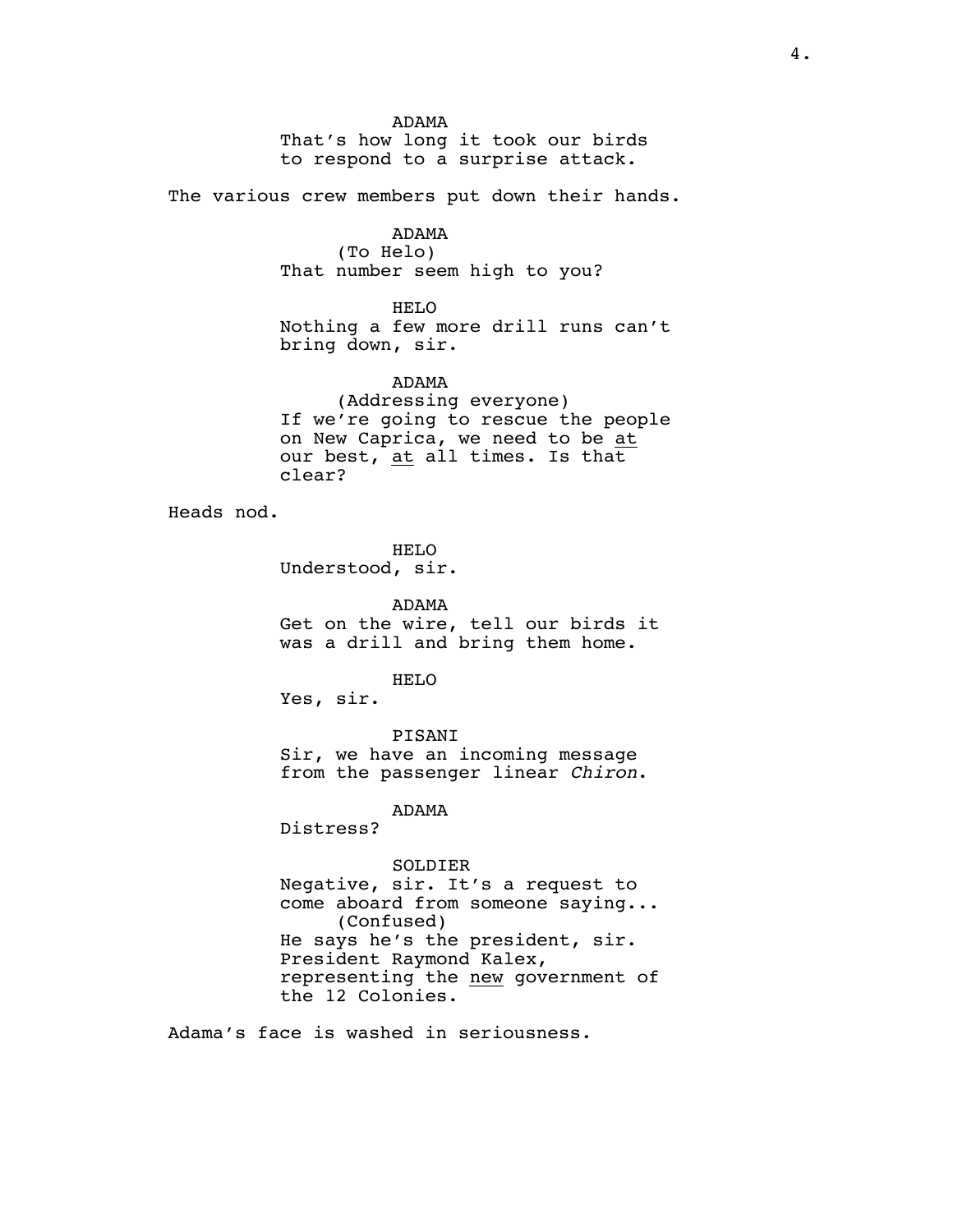ADAMA

That's how long it took our birds to respond to a surprise attack.

The various crew members put down their hands.

# ADAMA

(To Helo) That number seem high to you?

HELO

Nothing a few more drill runs can't bring down, sir.

### ADAMA

(Addressing everyone) If we're going to rescue the people on New Caprica, we need to be at our best, at all times. Is that clear?

Heads nod.

HELO Understood, sir.

ADAMA Get on the wire, tell our birds it was a drill and bring them home.

HELO

Yes, sir.

PISANI

Sir, we have an incoming message from the passenger linear *Chiron*.

ADAMA

Distress?

SOLDIER

Negative, sir. It's a request to come aboard from someone saying... (Confused) He says he's the president, sir. President Raymond Kalex, representing the new government of the 12 Colonies.

Adama's face is washed in seriousness.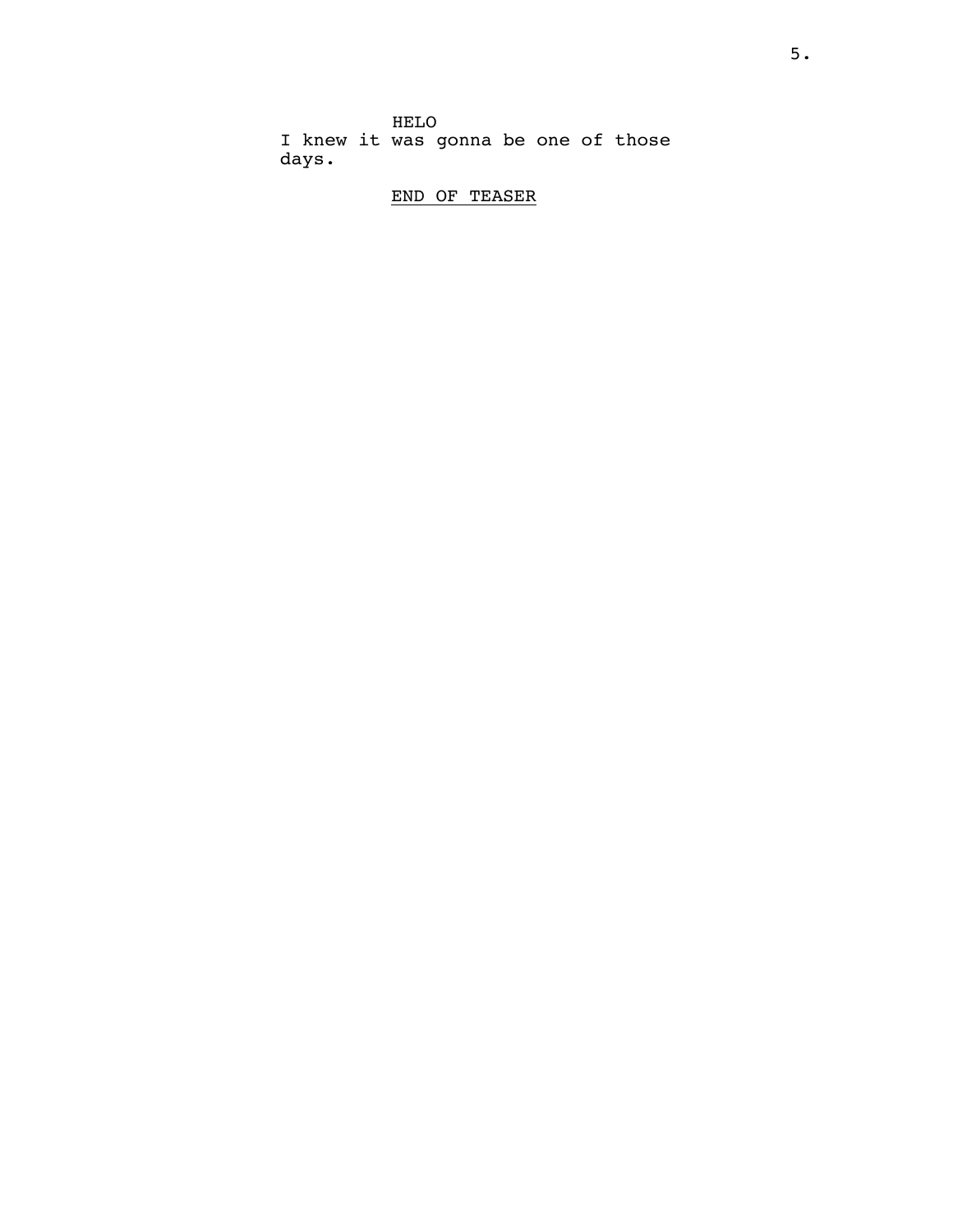HELO I knew it was gonna be one of those days.

# END OF TEASER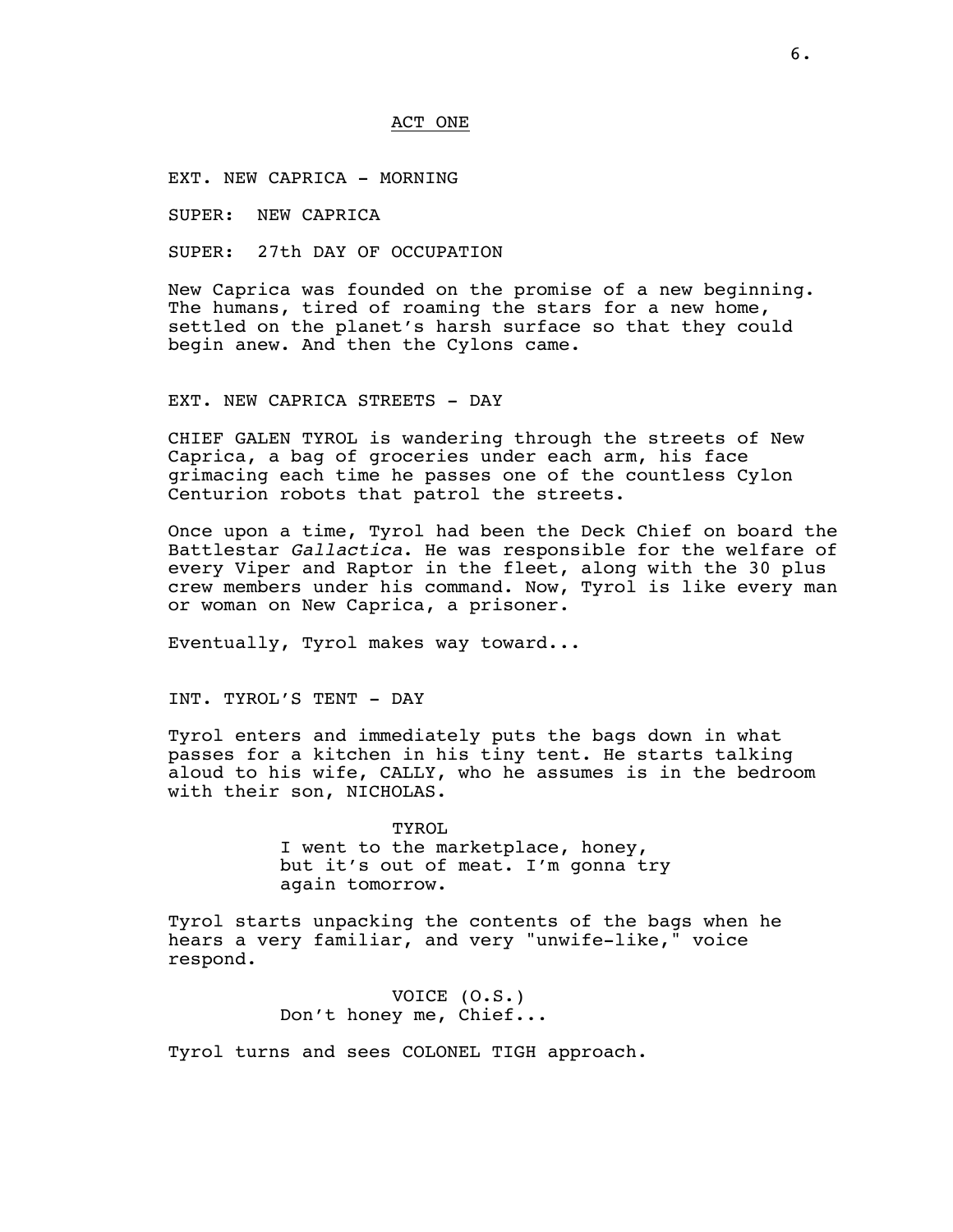#### ACT ONE

EXT. NEW CAPRICA - MORNING

SUPER: NEW CAPRICA

SUPER: 27th DAY OF OCCUPATION

New Caprica was founded on the promise of a new beginning. The humans, tired of roaming the stars for a new home, settled on the planet's harsh surface so that they could begin anew. And then the Cylons came.

EXT. NEW CAPRICA STREETS - DAY

CHIEF GALEN TYROL is wandering through the streets of New Caprica, a bag of groceries under each arm, his face grimacing each time he passes one of the countless Cylon Centurion robots that patrol the streets.

Once upon a time, Tyrol had been the Deck Chief on board the Battlestar *Gallactica*. He was responsible for the welfare of every Viper and Raptor in the fleet, along with the 30 plus crew members under his command. Now, Tyrol is like every man or woman on New Caprica, a prisoner.

Eventually, Tyrol makes way toward...

INT. TYROL'S TENT - DAY

Tyrol enters and immediately puts the bags down in what passes for a kitchen in his tiny tent. He starts talking aloud to his wife, CALLY, who he assumes is in the bedroom with their son, NICHOLAS.

> TYROL I went to the marketplace, honey, but it's out of meat. I'm gonna try again tomorrow.

Tyrol starts unpacking the contents of the bags when he hears a very familiar, and very "unwife-like," voice respond.

> VOICE (O.S.) Don't honey me, Chief...

Tyrol turns and sees COLONEL TIGH approach.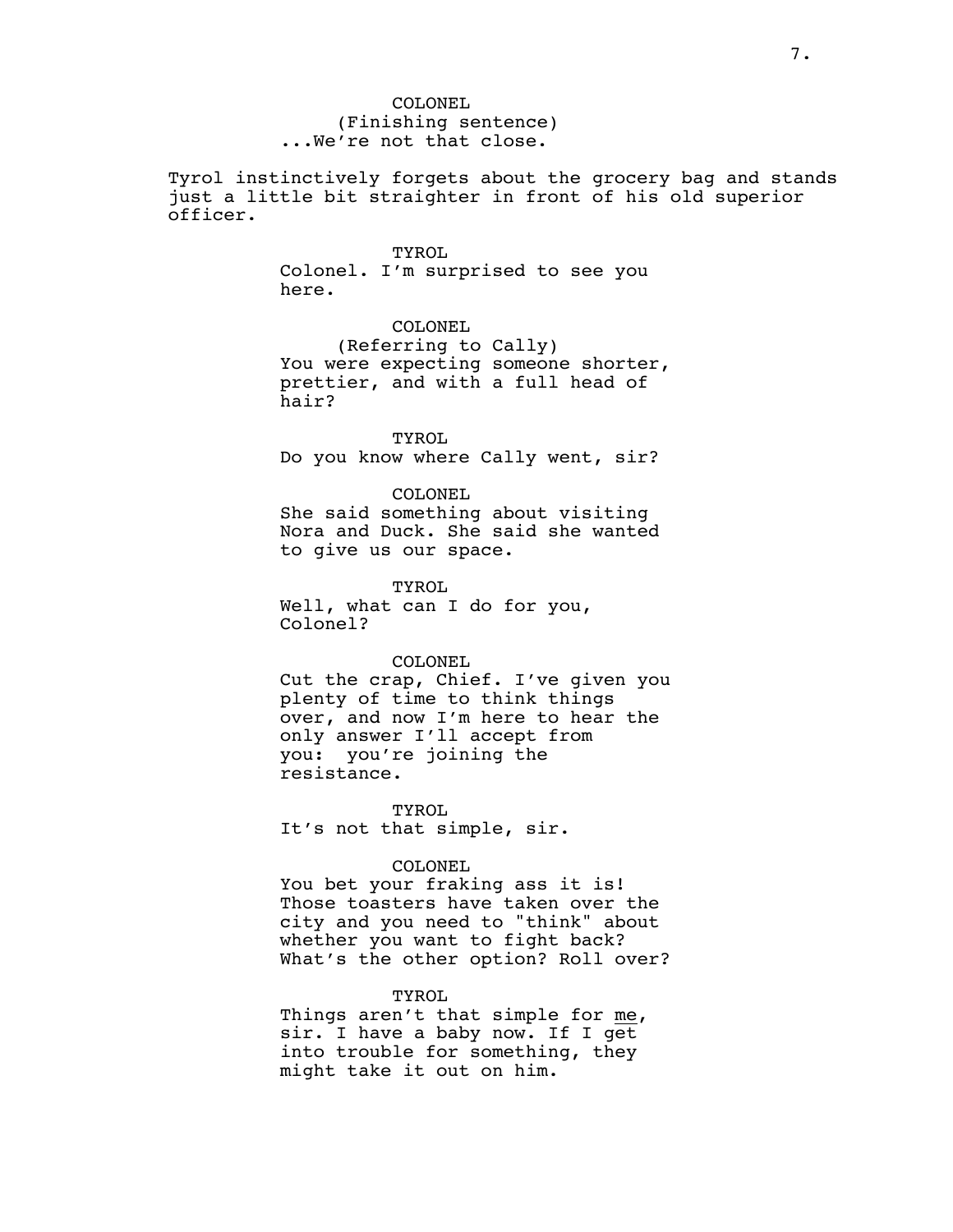COLONEL (Finishing sentence) ...We're not that close.

Tyrol instinctively forgets about the grocery bag and stands just a little bit straighter in front of his old superior officer.

#### TYROL.

Colonel. I'm surprised to see you here.

COLONEL

(Referring to Cally) You were expecting someone shorter, prettier, and with a full head of hair?

**TYROL** 

Do you know where Cally went, sir?

### COLONEL

She said something about visiting Nora and Duck. She said she wanted to give us our space.

TYROL

Well, what can I do for you, Colonel?

#### COLONEL

Cut the crap, Chief. I've given you plenty of time to think things over, and now I'm here to hear the only answer I'll accept from you: you're joining the resistance.

TYROL. It's not that simple, sir.

### COLONEL

You bet your fraking ass it is! Those toasters have taken over the city and you need to "think" about whether you want to fight back? What's the other option? Roll over?

### TYROL

Things aren't that simple for me, sir. I have a baby now. If I get into trouble for something, they might take it out on him.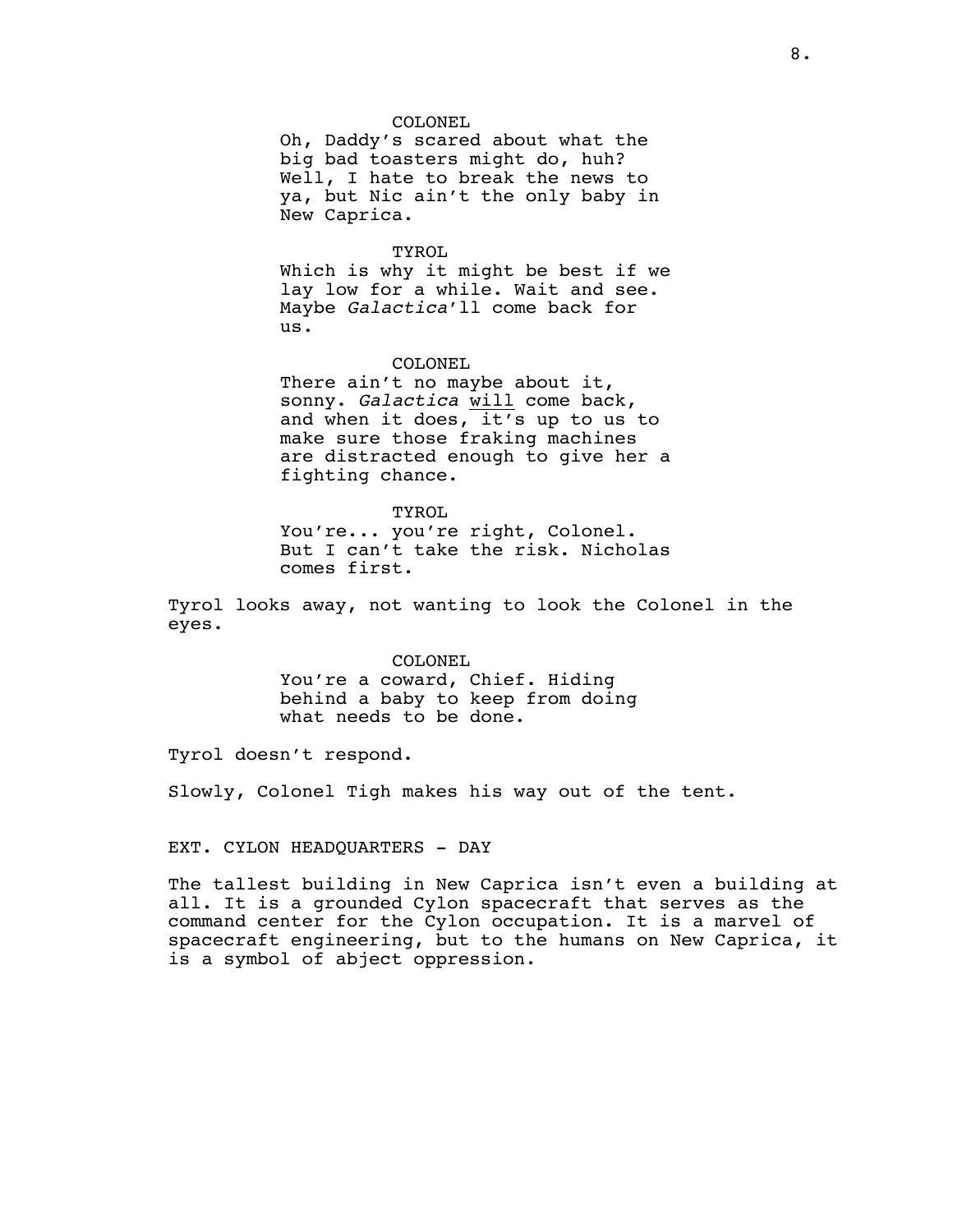#### COLONEL

Oh, Daddy's scared about what the big bad toasters might do, huh? Well, I hate to break the news to ya, but Nic ain't the only baby in New Caprica.

#### TYROL

Which is why it might be best if we lay low for a while. Wait and see. Maybe *Galactica*'ll come back for us.

#### COLONEL

There ain't no maybe about it, sonny. *Galactica* will come back, and when it does, it's up to us to make sure those fraking machines are distracted enough to give her a fighting chance.

TYROL You're... you're right, Colonel. But I can't take the risk. Nicholas comes first.

Tyrol looks away, not wanting to look the Colonel in the eyes.

> COLONEL You're a coward, Chief. Hiding behind a baby to keep from doing what needs to be done.

Tyrol doesn't respond.

Slowly, Colonel Tigh makes his way out of the tent.

EXT. CYLON HEADQUARTERS - DAY

The tallest building in New Caprica isn't even a building at all. It is a grounded Cylon spacecraft that serves as the command center for the Cylon occupation. It is a marvel of spacecraft engineering, but to the humans on New Caprica, it is a symbol of abject oppression.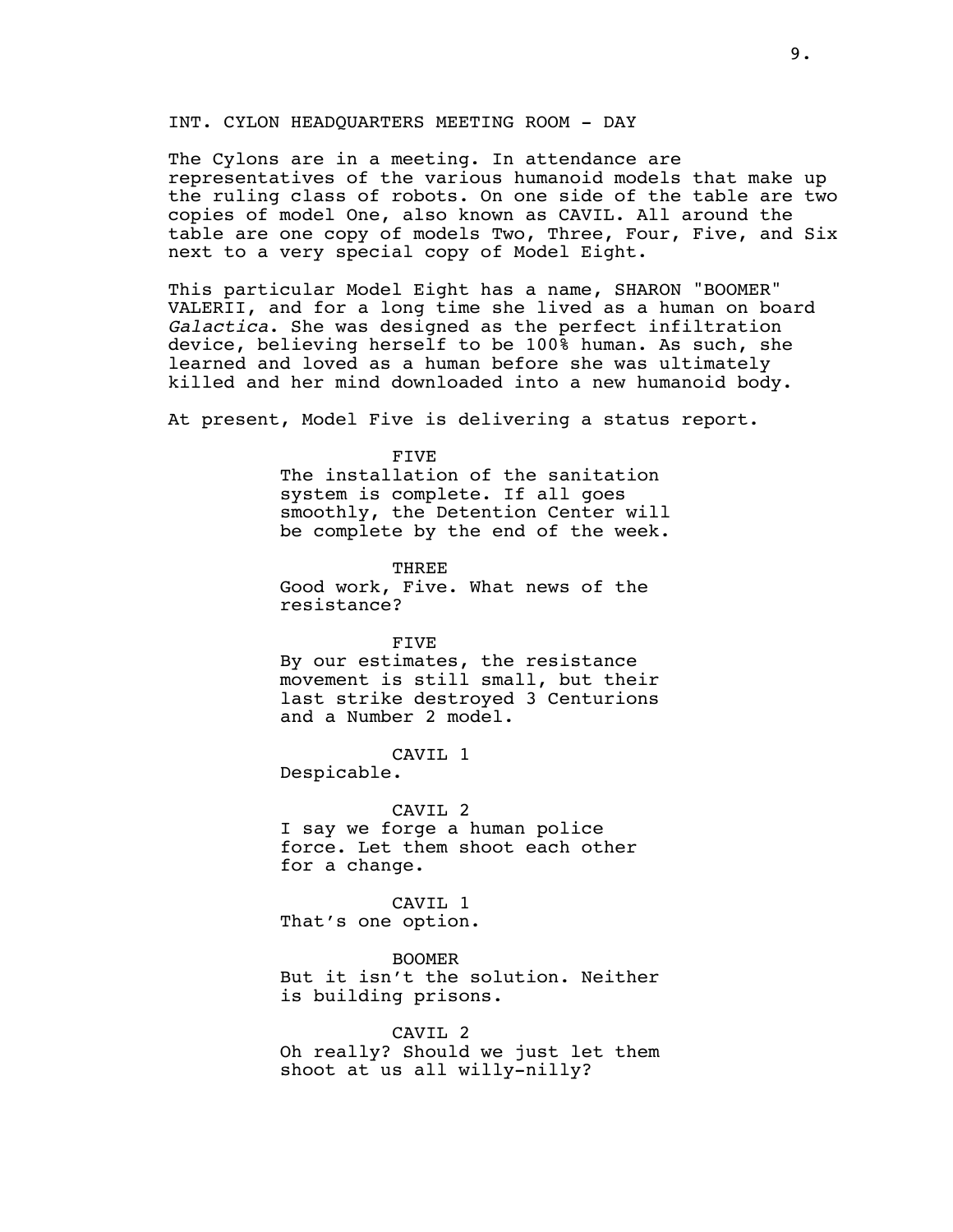### INT. CYLON HEADQUARTERS MEETING ROOM - DAY

The Cylons are in a meeting. In attendance are representatives of the various humanoid models that make up the ruling class of robots. On one side of the table are two copies of model One, also known as CAVIL. All around the table are one copy of models Two, Three, Four, Five, and Six next to a very special copy of Model Eight.

This particular Model Eight has a name, SHARON "BOOMER" VALERII, and for a long time she lived as a human on board *Galactica*. She was designed as the perfect infiltration device, believing herself to be 100% human. As such, she learned and loved as a human before she was ultimately killed and her mind downloaded into a new humanoid body.

At present, Model Five is delivering a status report.

FIVE

The installation of the sanitation system is complete. If all goes smoothly, the Detention Center will be complete by the end of the week.

**THREE** Good work, Five. What news of the resistance?

FIVE

By our estimates, the resistance movement is still small, but their last strike destroyed 3 Centurions and a Number 2 model.

## CAVIL 1

Despicable.

CAVIL 2

I say we forge a human police force. Let them shoot each other for a change.

CAVIL 1 That's one option.

BOOMER But it isn't the solution. Neither is building prisons.

CAVIL 2 Oh really? Should we just let them shoot at us all willy-nilly?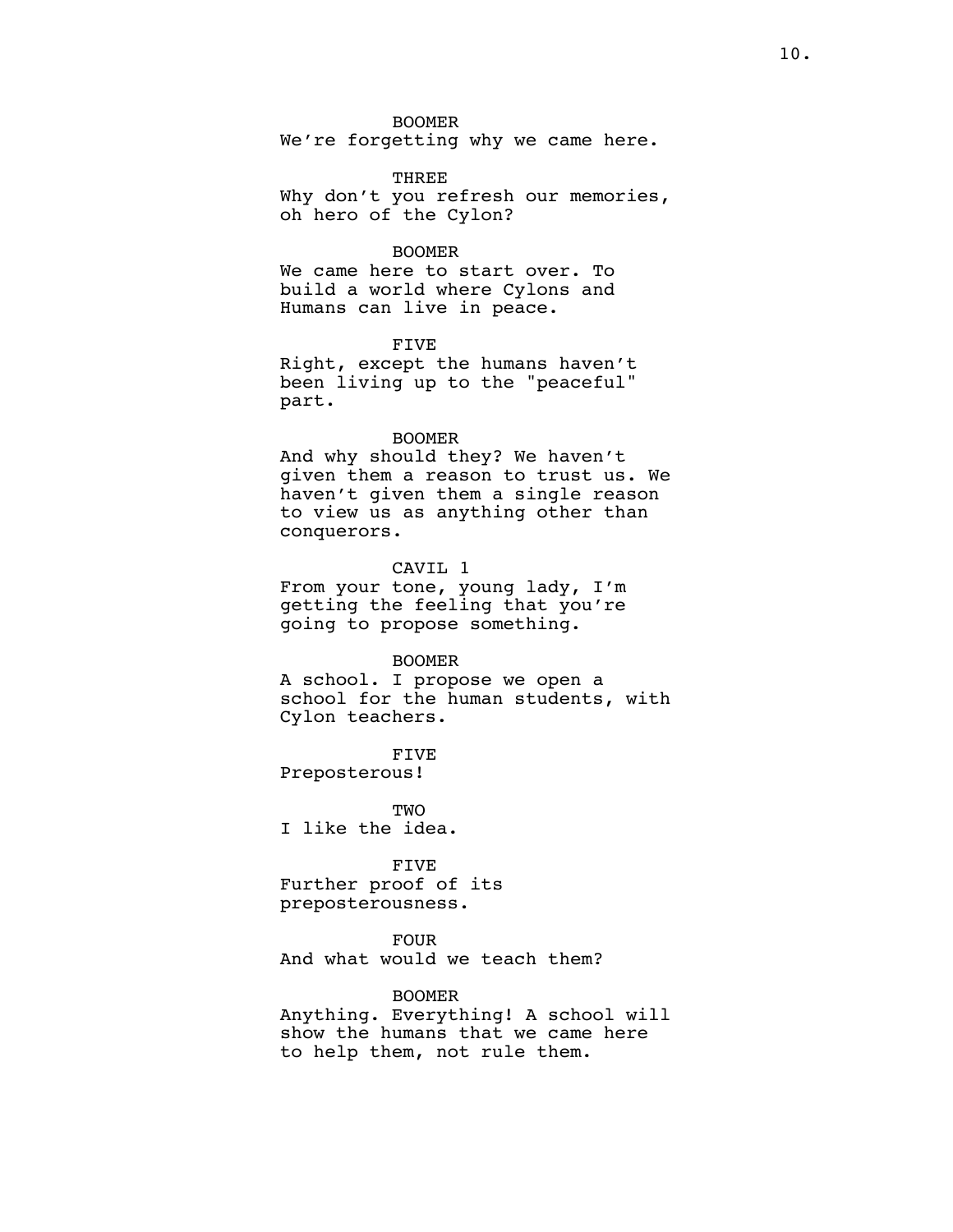BOOMER

We're forgetting why we came here.

### **THREE**

Why don't you refresh our memories, oh hero of the Cylon?

### BOOMER

We came here to start over. To build a world where Cylons and Humans can live in peace.

### FIVE

Right, except the humans haven't been living up to the "peaceful" part.

### BOOMER

And why should they? We haven't given them a reason to trust us. We haven't given them a single reason to view us as anything other than conquerors.

### CAVIL 1

From your tone, young lady, I'm getting the feeling that you're going to propose something.

#### BOOMER

A school. I propose we open a school for the human students, with Cylon teachers.

FIVE Preposterous!

**TWO** I like the idea.

FIVE Further proof of its preposterousness.

FOUR

And what would we teach them?

### BOOMER

Anything. Everything! A school will show the humans that we came here to help them, not rule them.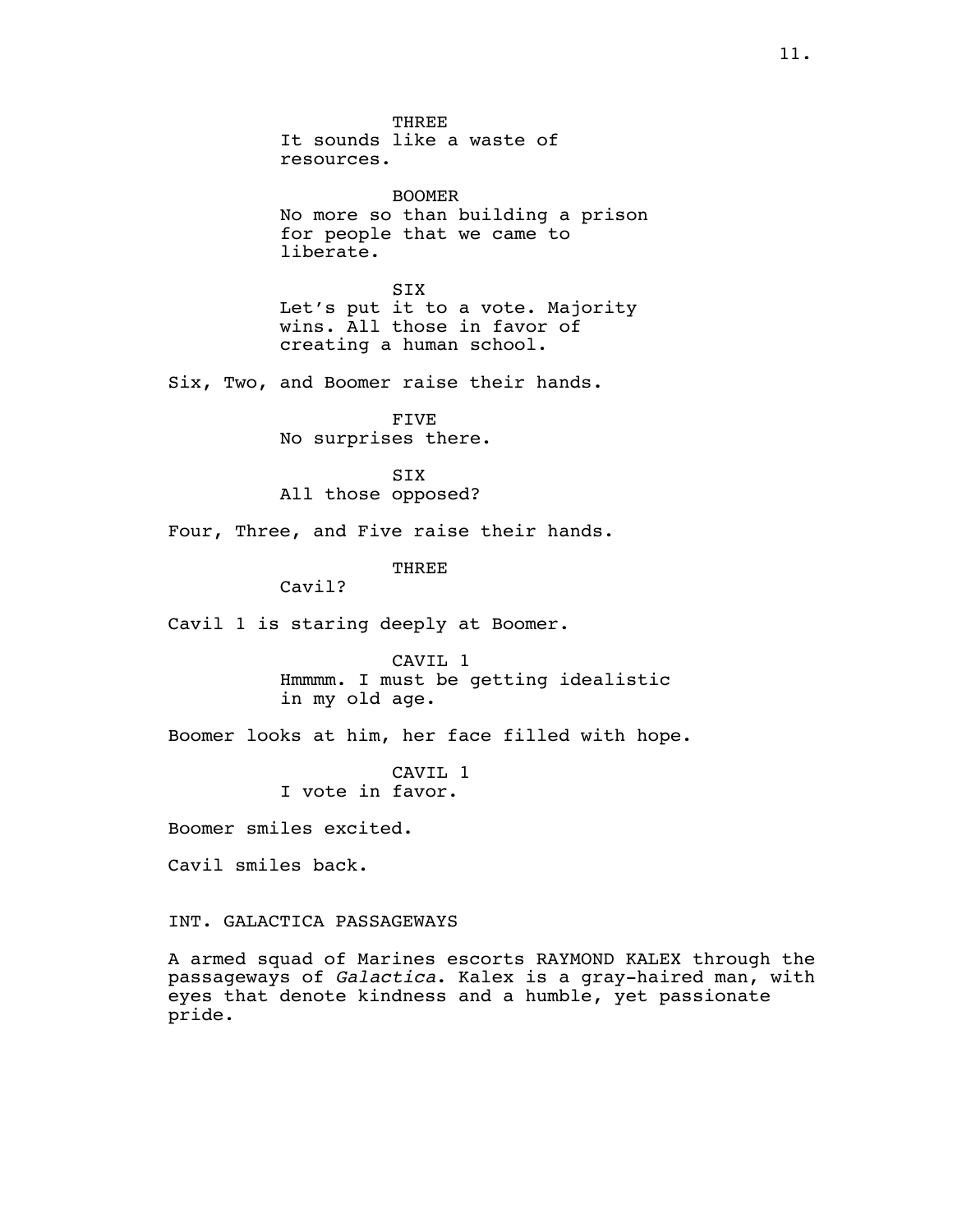THREE It sounds like a waste of resources. BOOMER No more so than building a prison for people that we came to liberate. SIX Let's put it to a vote. Majority wins. All those in favor of creating a human school. Six, Two, and Boomer raise their hands. FIVE No surprises there. SIX All those opposed? Four, Three, and Five raise their hands. **THREE** Cavil? Cavil 1 is staring deeply at Boomer. CAVIL 1 Hmmmm. I must be getting idealistic in my old age. Boomer looks at him, her face filled with hope. CAVIL 1 I vote in favor. Boomer smiles excited. Cavil smiles back. INT. GALACTICA PASSAGEWAYS

A armed squad of Marines escorts RAYMOND KALEX through the passageways of *Galactica*. Kalex is a gray-haired man, with eyes that denote kindness and a humble, yet passionate pride.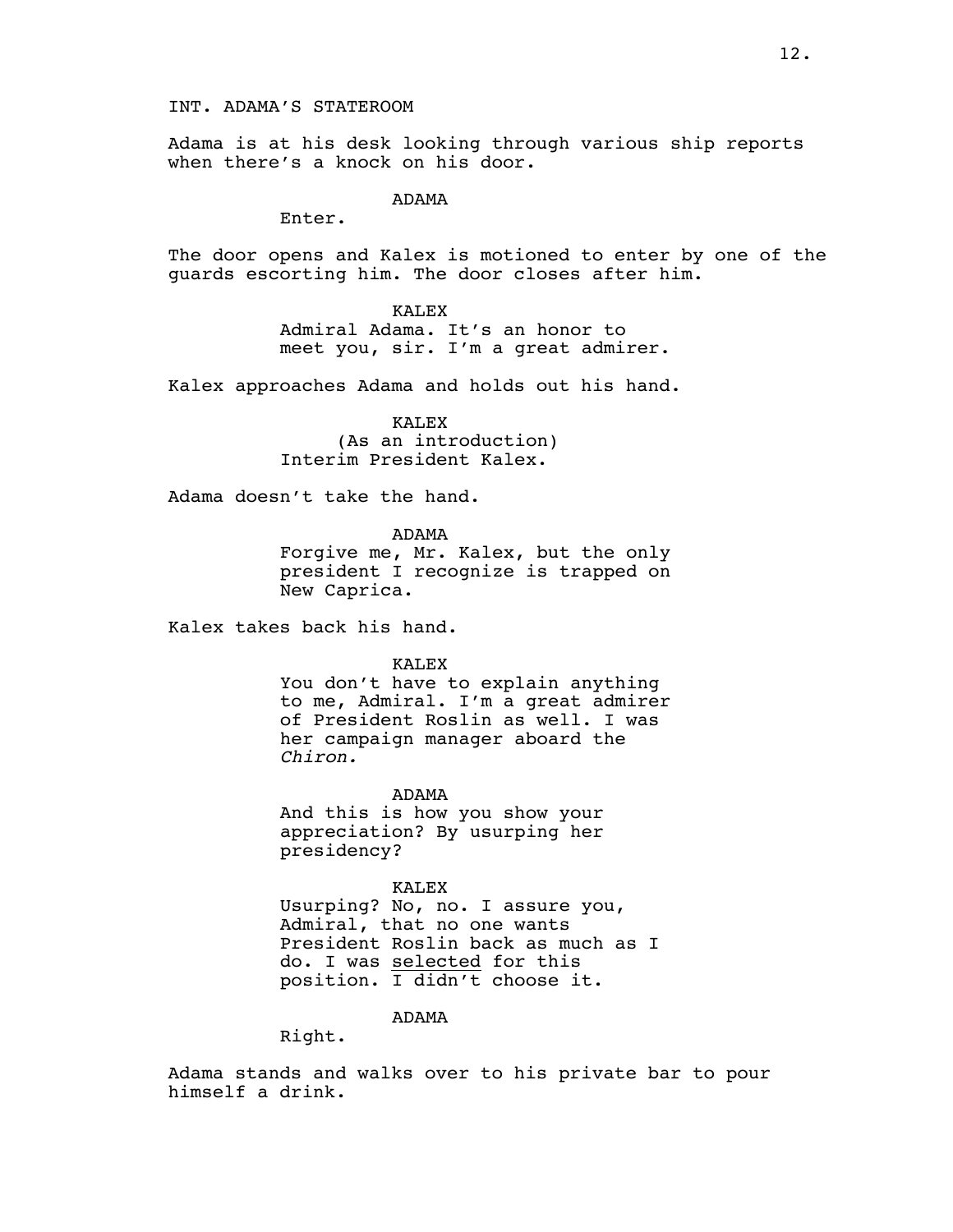INT. ADAMA'S STATEROOM

Adama is at his desk looking through various ship reports when there's a knock on his door.

ADAMA

Enter.

The door opens and Kalex is motioned to enter by one of the guards escorting him. The door closes after him.

> KALEX Admiral Adama. It's an honor to meet you, sir. I'm a great admirer.

Kalex approaches Adama and holds out his hand.

KALEX (As an introduction) Interim President Kalex.

Adama doesn't take the hand.

ADAMA

Forgive me, Mr. Kalex, but the only president I recognize is trapped on New Caprica.

Kalex takes back his hand.

KALEX

You don't have to explain anything to me, Admiral. I'm a great admirer of President Roslin as well. I was her campaign manager aboard the *Chiron.*

ADAMA

And this is how you show your appreciation? By usurping her presidency?

KALEX

Usurping? No, no. I assure you, Admiral, that no one wants President Roslin back as much as I do. I was selected for this position. I didn't choose it.

ADAMA

Right.

Adama stands and walks over to his private bar to pour himself a drink.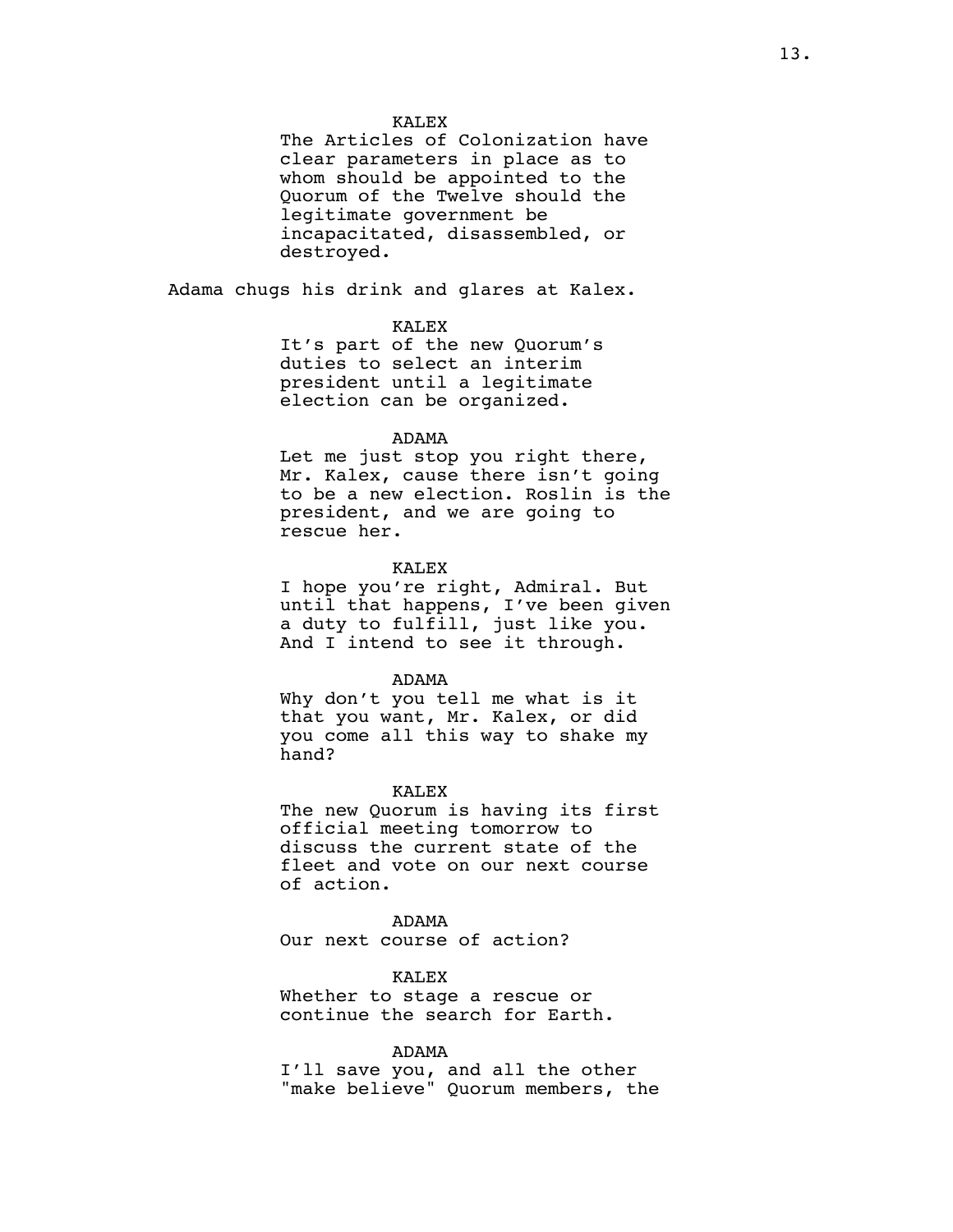The Articles of Colonization have clear parameters in place as to whom should be appointed to the Quorum of the Twelve should the legitimate government be incapacitated, disassembled, or destroyed.

Adama chugs his drink and glares at Kalex.

### KALEX

It's part of the new Quorum's duties to select an interim president until a legitimate election can be organized.

### ADAMA

Let me just stop you right there, Mr. Kalex, cause there isn't going to be a new election. Roslin is the president, and we are going to rescue her.

### KALEX

I hope you're right, Admiral. But until that happens, I've been given a duty to fulfill, just like you. And I intend to see it through.

#### ADAMA

Why don't you tell me what is it that you want, Mr. Kalex, or did you come all this way to shake my hand?

#### KALEX

The new Quorum is having its first official meeting tomorrow to discuss the current state of the fleet and vote on our next course of action.

# ADAMA

Our next course of action?

### KALEX

Whether to stage a rescue or continue the search for Earth.

### ADAMA

I'll save you, and all the other "make believe" Quorum members, the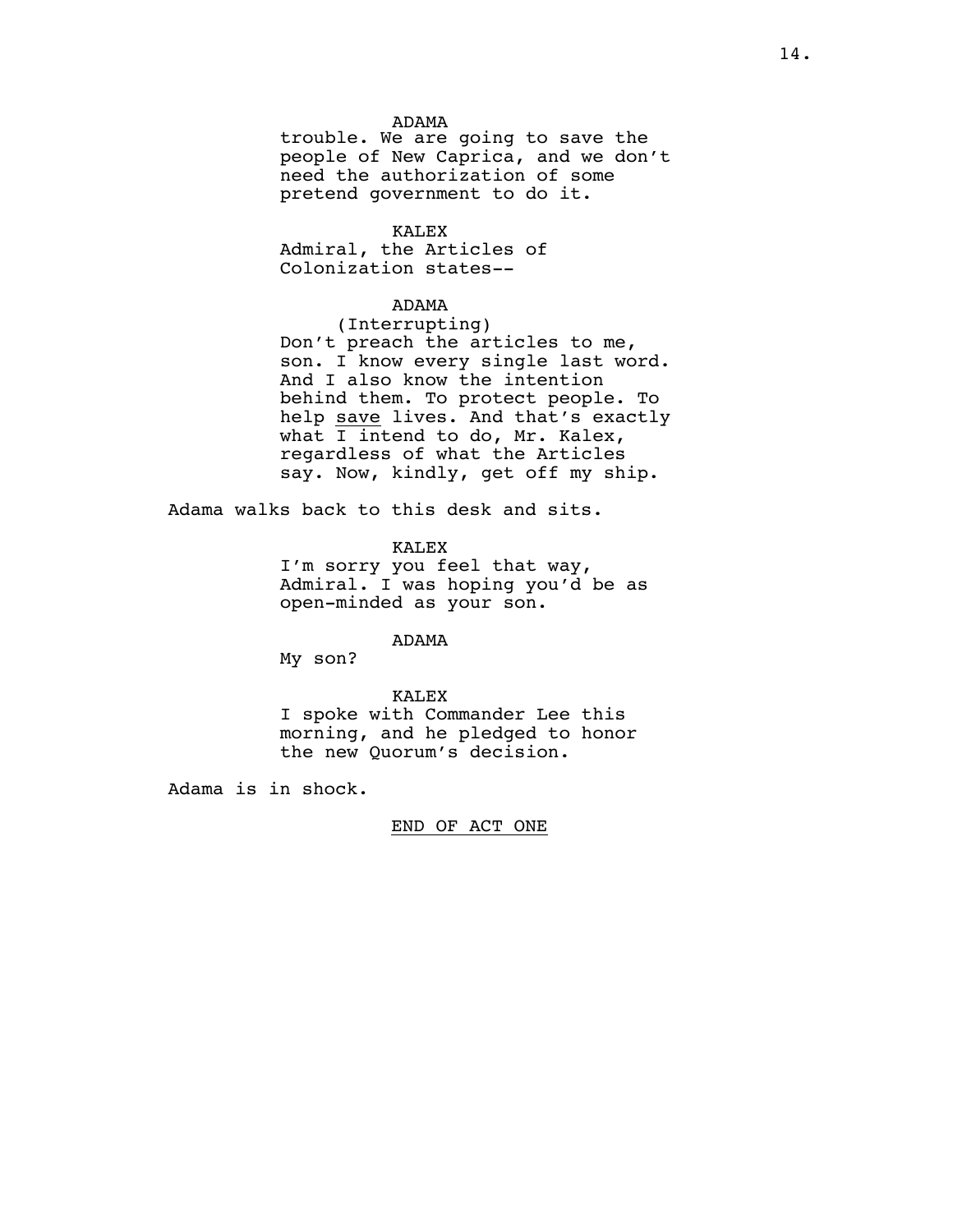### ADAMA

trouble. We are going to save the people of New Caprica, and we don't need the authorization of some pretend government to do it.

#### KALEX

Admiral, the Articles of Colonization states--

### ADAMA

(Interrupting) Don't preach the articles to me, son. I know every single last word. And I also know the intention behind them. To protect people. To help save lives. And that's exactly what  $\overline{I}$  intend to do, Mr. Kalex, regardless of what the Articles say. Now, kindly, get off my ship.

Adama walks back to this desk and sits.

KALEX

I'm sorry you feel that way, Admiral. I was hoping you'd be as open-minded as your son.

ADAMA

My son?

#### KALEX

I spoke with Commander Lee this morning, and he pledged to honor the new Quorum's decision.

Adama is in shock.

### END OF ACT ONE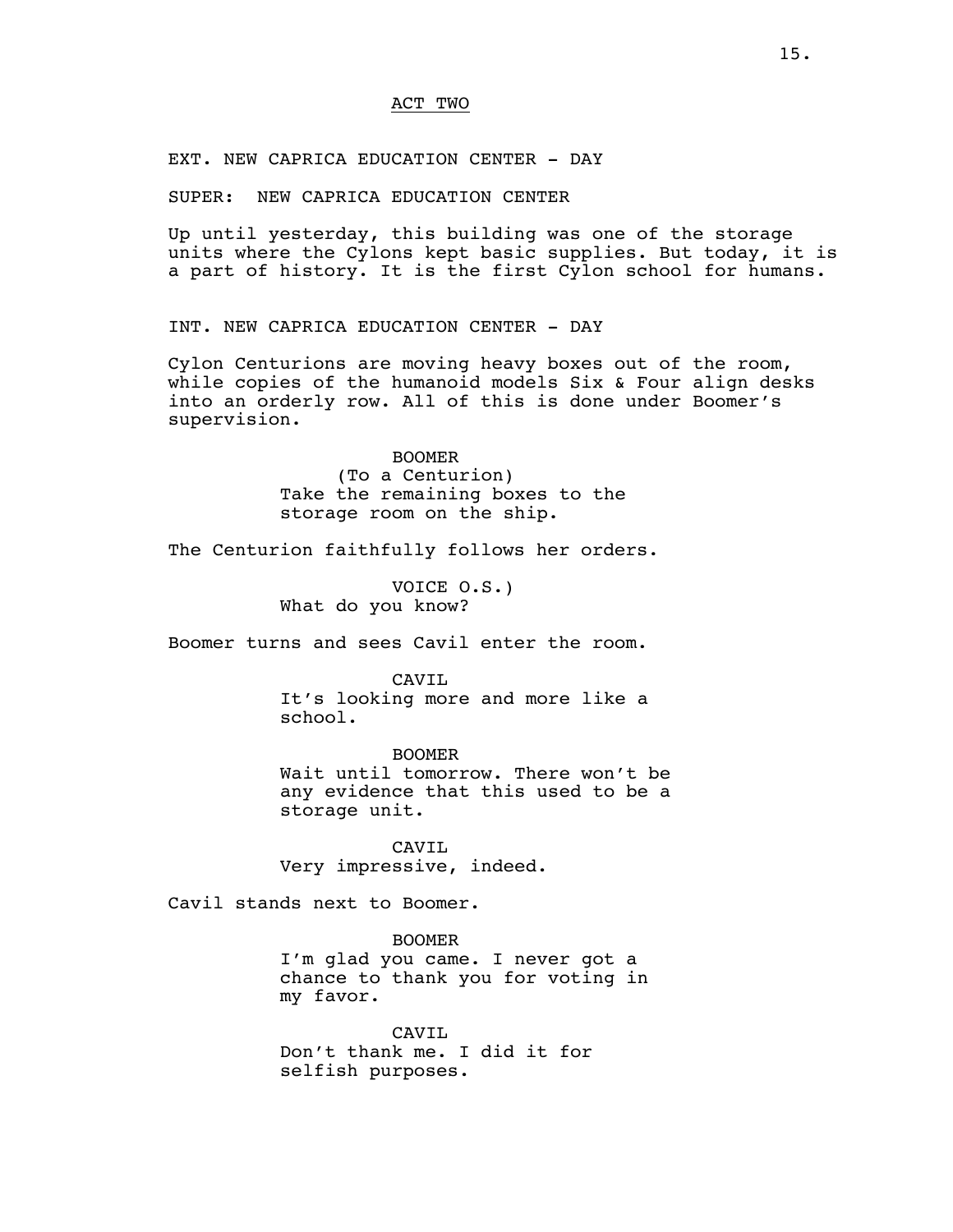### ACT TWO

EXT. NEW CAPRICA EDUCATION CENTER - DAY

SUPER: NEW CAPRICA EDUCATION CENTER

Up until yesterday, this building was one of the storage units where the Cylons kept basic supplies. But today, it is a part of history. It is the first Cylon school for humans.

INT. NEW CAPRICA EDUCATION CENTER - DAY

Cylon Centurions are moving heavy boxes out of the room, while copies of the humanoid models Six & Four align desks into an orderly row. All of this is done under Boomer's supervision.

BOOMER

(To a Centurion) Take the remaining boxes to the storage room on the ship.

The Centurion faithfully follows her orders.

VOICE O.S.) What do you know?

Boomer turns and sees Cavil enter the room.

CAVIL

It's looking more and more like a school.

BOOMER Wait until tomorrow. There won't be any evidence that this used to be a storage unit.

CAVIL Very impressive, indeed.

Cavil stands next to Boomer.

BOOMER I'm glad you came. I never got a chance to thank you for voting in my favor.

CAVIL Don't thank me. I did it for selfish purposes.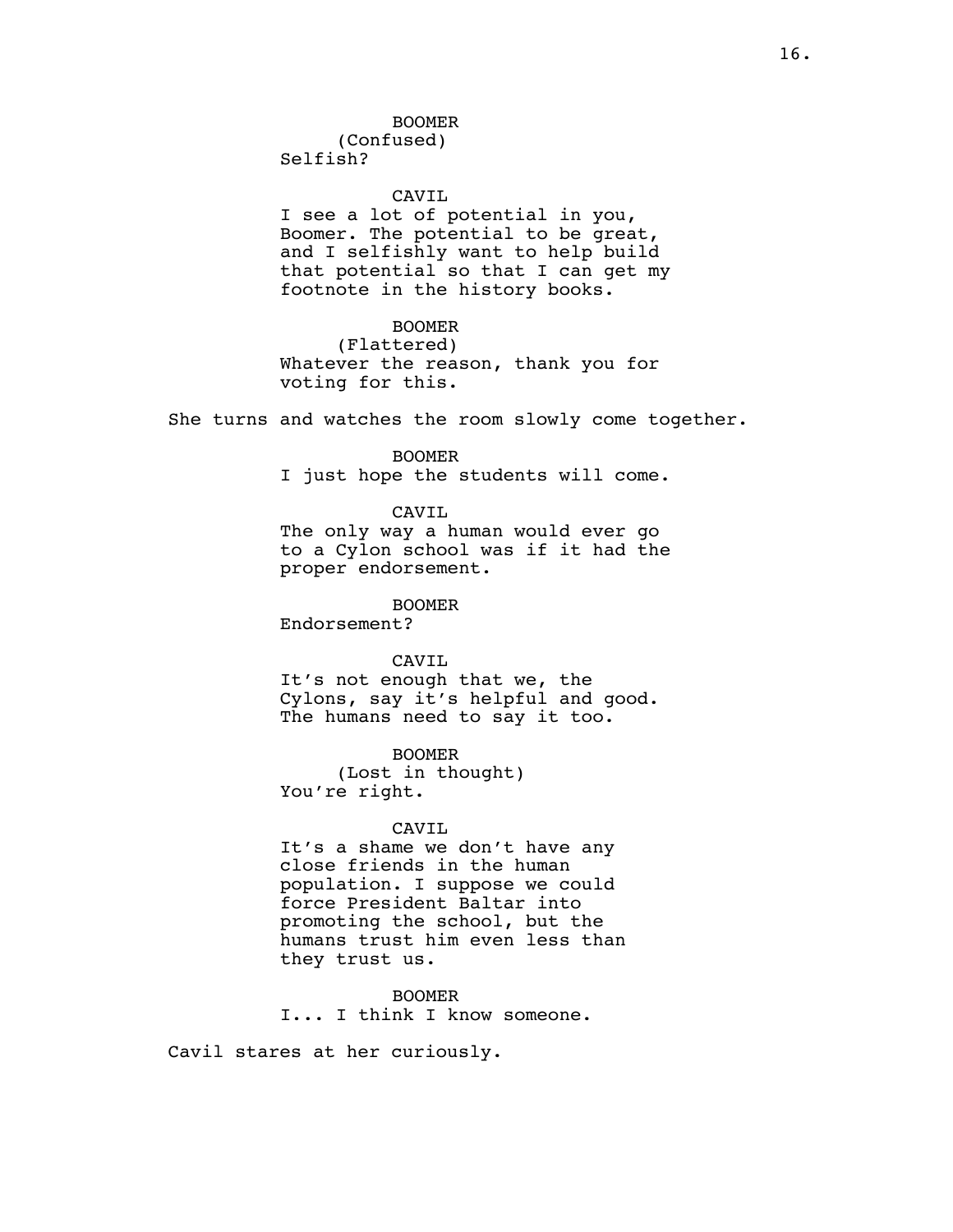(Confused) Selfish?

### CAVIL

I see a lot of potential in you, Boomer. The potential to be great, and I selfishly want to help build that potential so that I can get my footnote in the history books.

# BOOMER

(Flattered) Whatever the reason, thank you for voting for this.

She turns and watches the room slowly come together.

#### BOOMER

I just hope the students will come.

### CAVIL

The only way a human would ever go to a Cylon school was if it had the proper endorsement.

BOOMER

Endorsement?

### CAVIL

It's not enough that we, the Cylons, say it's helpful and good. The humans need to say it too.

BOOMER (Lost in thought) You're right.

#### CAVIL

It's a shame we don't have any close friends in the human population. I suppose we could force President Baltar into promoting the school, but the humans trust him even less than they trust us.

BOOMER I... I think I know someone.

Cavil stares at her curiously.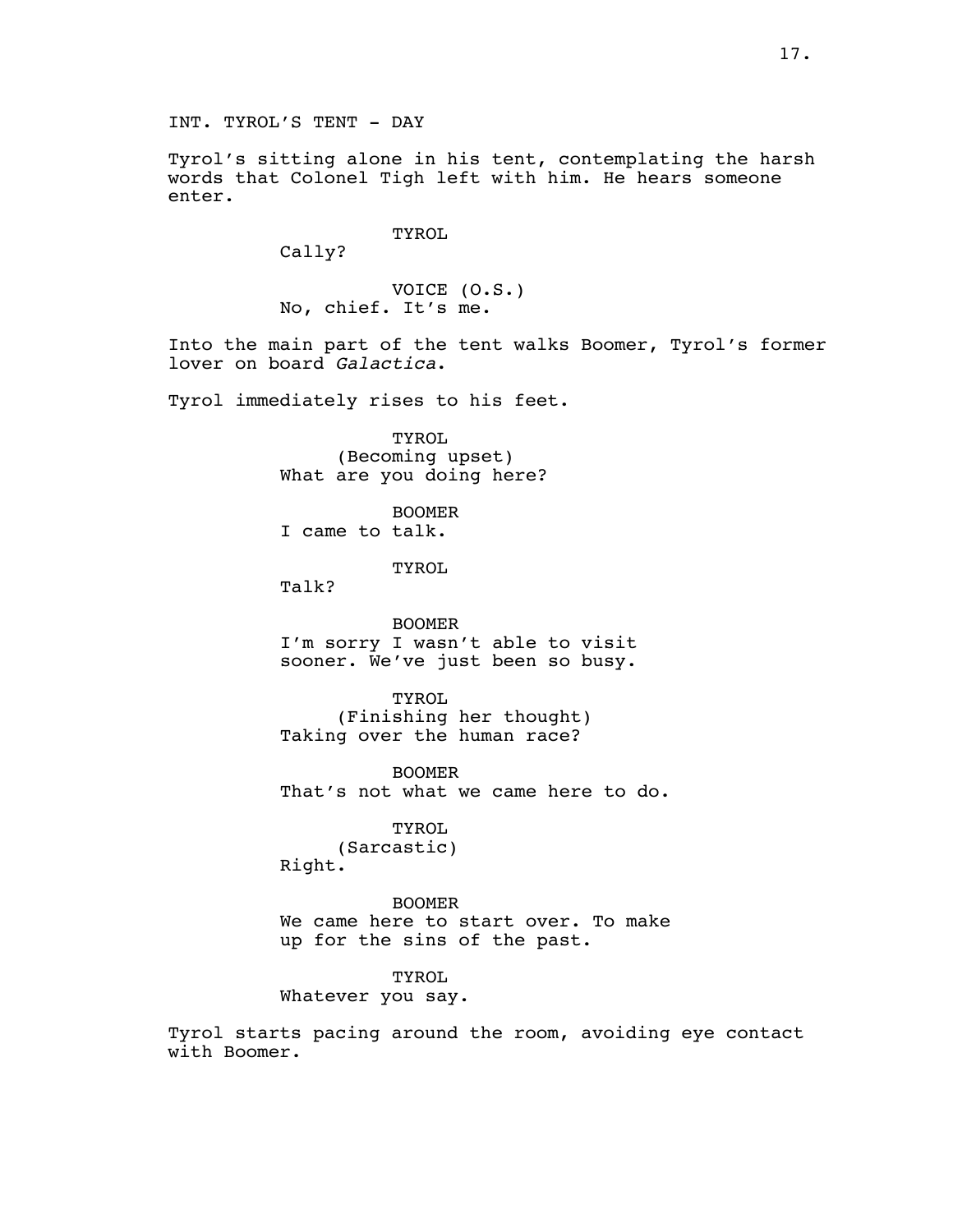Tyrol's sitting alone in his tent, contemplating the harsh words that Colonel Tigh left with him. He hears someone enter.

TYROL

Cally?

VOICE (O.S.) No, chief. It's me.

Into the main part of the tent walks Boomer, Tyrol's former lover on board *Galactica*.

Tyrol immediately rises to his feet.

TYROL (Becoming upset) What are you doing here?

BOOMER I came to talk.

TYROL.

Talk?

BOOMER I'm sorry I wasn't able to visit sooner. We've just been so busy.

**TYROL** (Finishing her thought) Taking over the human race?

BOOMER That's not what we came here to do.

TYROL (Sarcastic) Right.

BOOMER We came here to start over. To make up for the sins of the past.

TYROL Whatever you say.

Tyrol starts pacing around the room, avoiding eye contact with Boomer.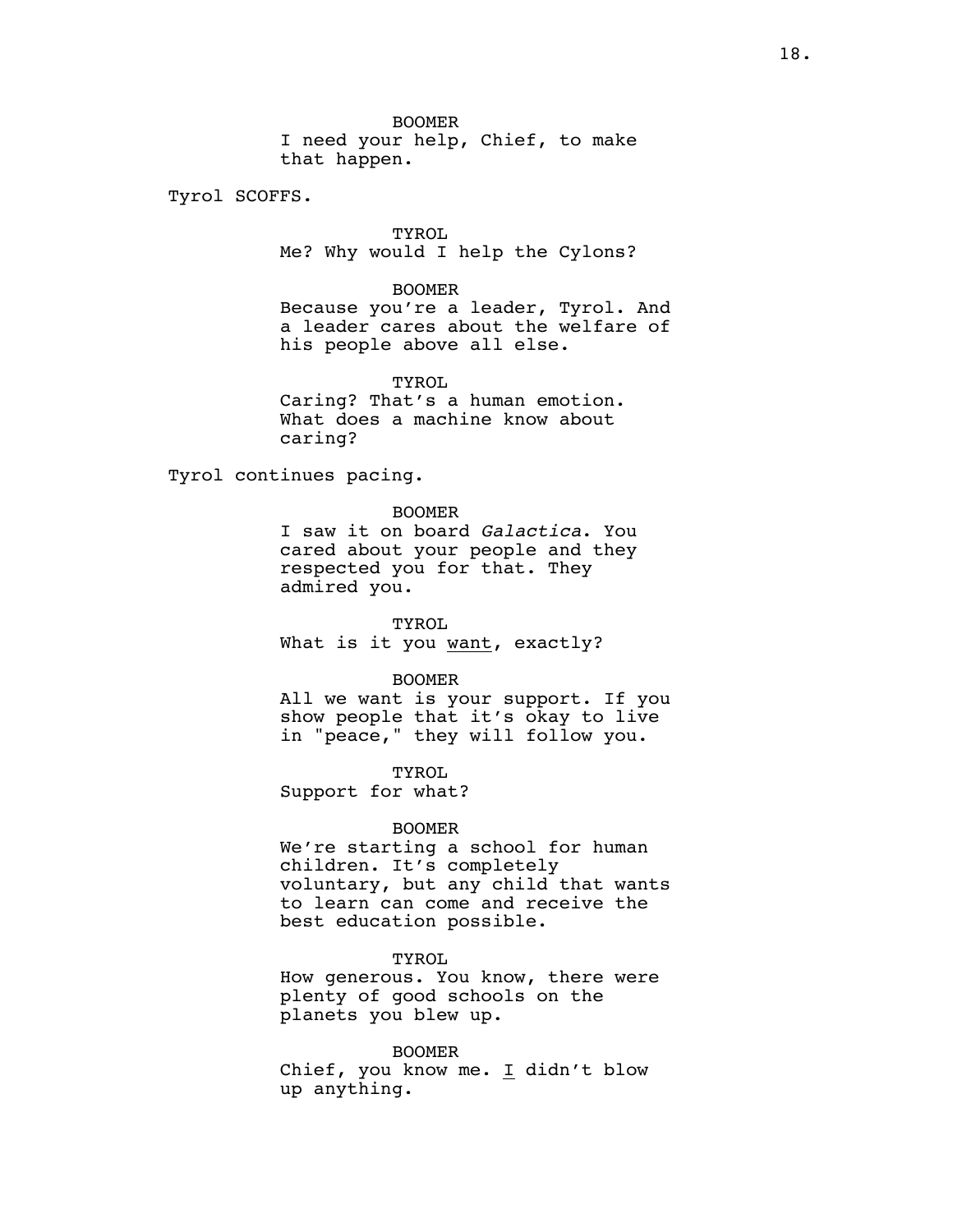Tyrol SCOFFS.

TYROL Me? Why would I help the Cylons?

BOOMER Because you're a leader, Tyrol. And a leader cares about the welfare of his people above all else.

TYROL Caring? That's a human emotion. What does a machine know about caring?

Tyrol continues pacing.

#### BOOMER

I saw it on board *Galactica*. You cared about your people and they respected you for that. They admired you.

TYROL What is it you want, exactly?

### BOOMER

All we want is your support. If you show people that it's okay to live in "peace," they will follow you.

TYROL

Support for what?

#### BOOMER

We're starting a school for human children. It's completely voluntary, but any child that wants to learn can come and receive the best education possible.

### TYROL

How generous. You know, there were plenty of good schools on the planets you blew up.

#### BOOMER

Chief, you know me. I didn't blow up anything.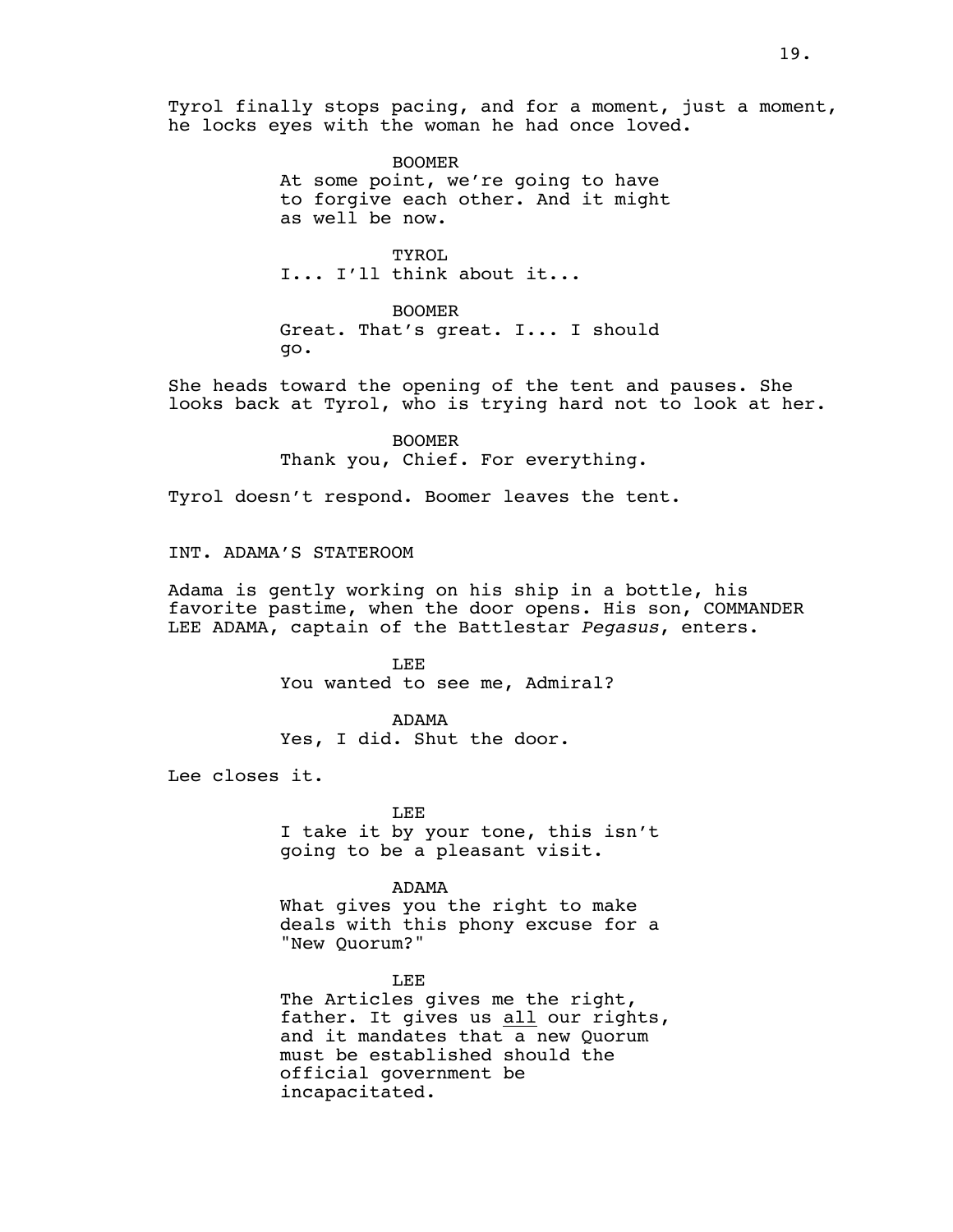Tyrol finally stops pacing, and for a moment, just a moment, he locks eyes with the woman he had once loved.

> BOOMER At some point, we're going to have to forgive each other. And it might as well be now.

TYROL I... I'll think about it...

BOOMER Great. That's great. I... I should go.

She heads toward the opening of the tent and pauses. She looks back at Tyrol, who is trying hard not to look at her.

> BOOMER Thank you, Chief. For everything.

Tyrol doesn't respond. Boomer leaves the tent.

INT. ADAMA'S STATEROOM

Adama is gently working on his ship in a bottle, his favorite pastime, when the door opens. His son, COMMANDER LEE ADAMA, captain of the Battlestar *Pegasus*, enters.

> LEE You wanted to see me, Admiral?

ADAMA Yes, I did. Shut the door.

Lee closes it.

LEE I take it by your tone, this isn't going to be a pleasant visit.

ADAMA What gives you the right to make deals with this phony excuse for a "New Quorum?"

LEE The Articles gives me the right, father. It gives us all our rights, and it mandates that a new Quorum must be established should the official government be incapacitated.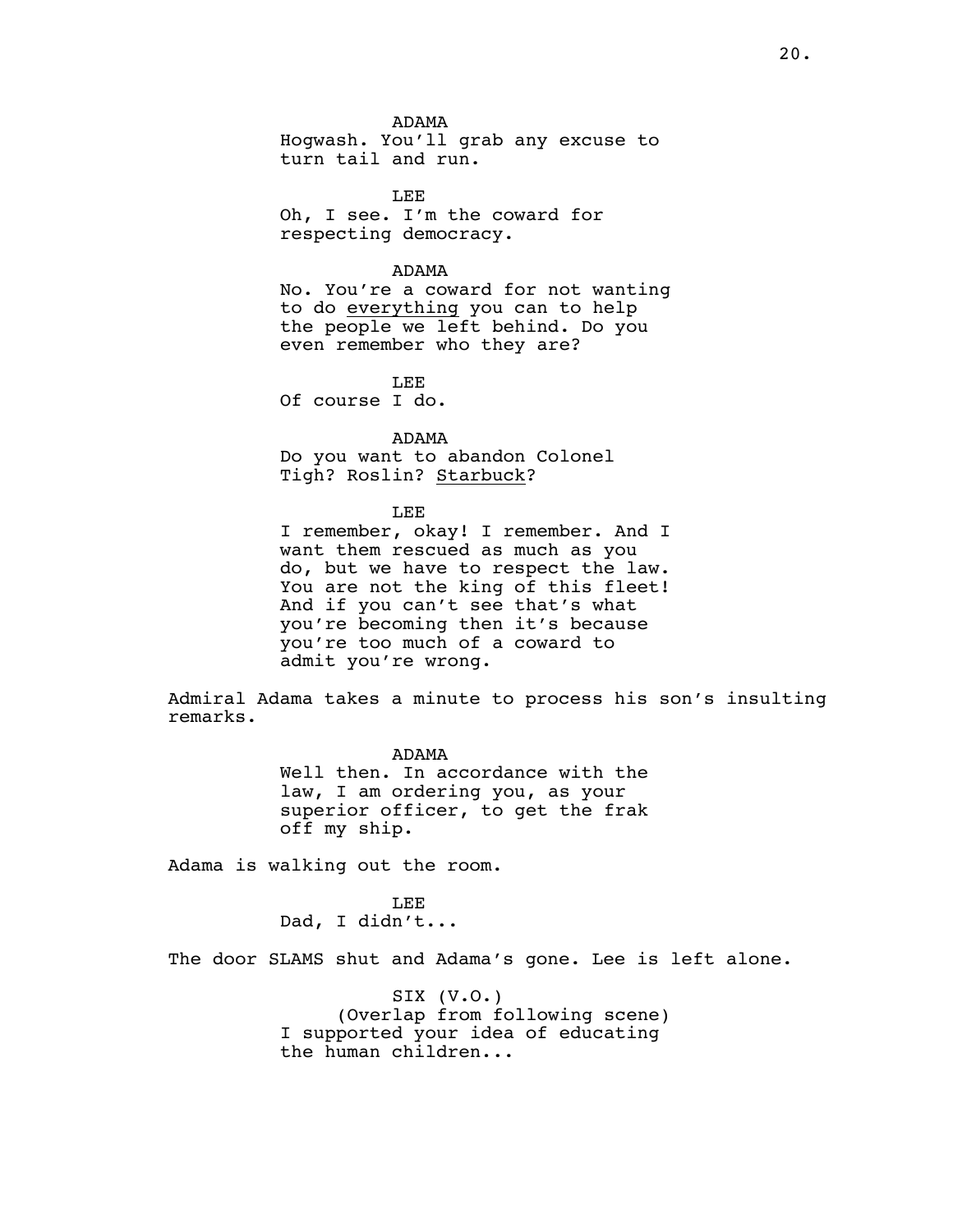ADAMA Hogwash. You'll grab any excuse to turn tail and run.

LEE Oh, I see. I'm the coward for respecting democracy.

#### ADAMA

No. You're a coward for not wanting to do everything you can to help the people we left behind. Do you even remember who they are?

LEE Of course I do.

ADAMA Do you want to abandon Colonel Tigh? Roslin? Starbuck?

#### LEE

I remember, okay! I remember. And I want them rescued as much as you do, but we have to respect the law. You are not the king of this fleet! And if you can't see that's what you're becoming then it's because you're too much of a coward to admit you're wrong.

Admiral Adama takes a minute to process his son's insulting remarks.

> ADAMA Well then. In accordance with the law, I am ordering you, as your superior officer, to get the frak off my ship.

Adama is walking out the room.

LEE Dad, I didn't...

The door SLAMS shut and Adama's gone. Lee is left alone.

SIX (V.O.) (Overlap from following scene) I supported your idea of educating the human children...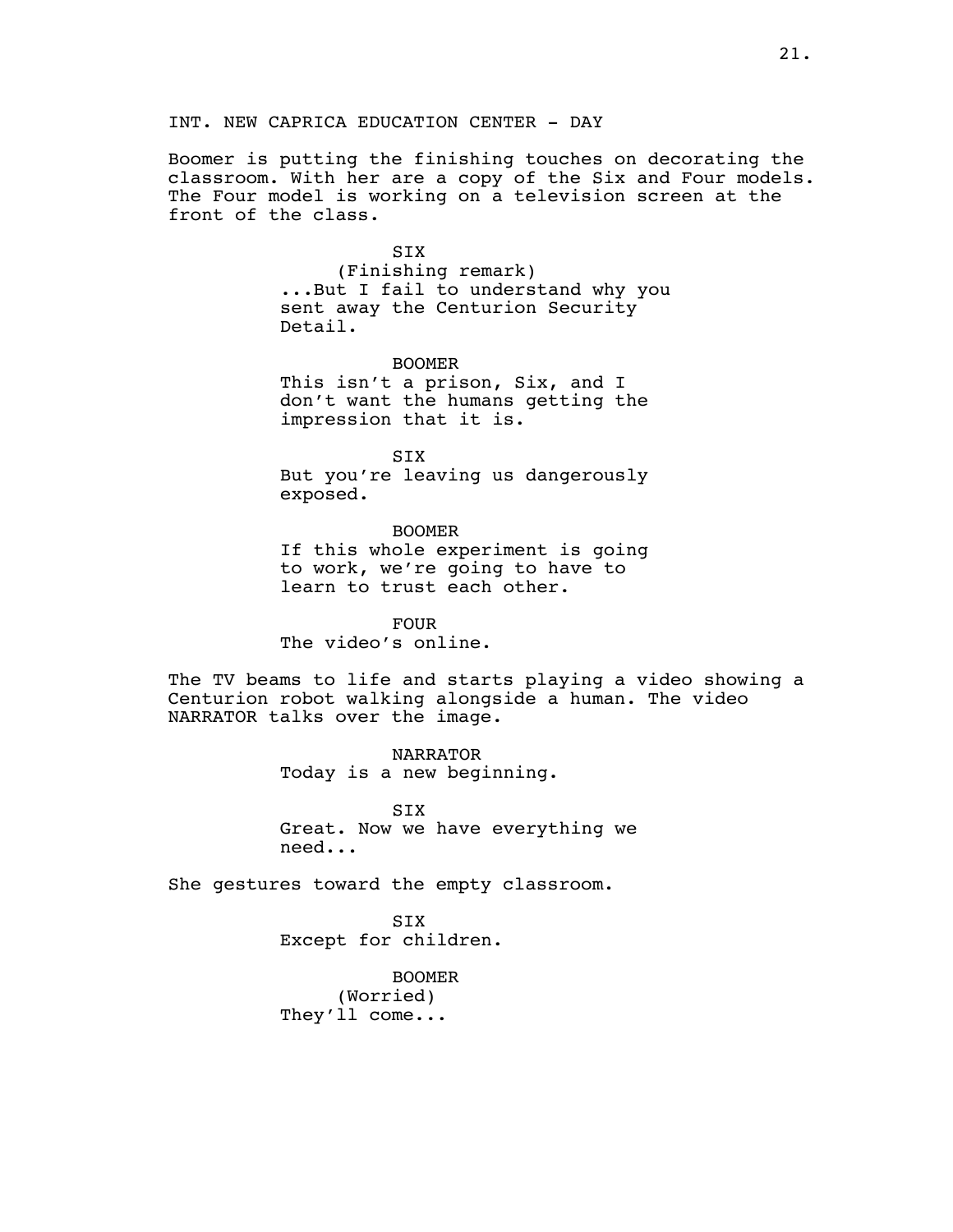INT. NEW CAPRICA EDUCATION CENTER - DAY

Boomer is putting the finishing touches on decorating the classroom. With her are a copy of the Six and Four models. The Four model is working on a television screen at the front of the class.

#### **STX**

(Finishing remark) ...But I fail to understand why you sent away the Centurion Security Detail.

BOOMER This isn't a prison, Six, and I don't want the humans getting the impression that it is.

SIX But you're leaving us dangerously exposed.

BOOMER If this whole experiment is going to work, we're going to have to learn to trust each other.

FOUR The video's online.

The TV beams to life and starts playing a video showing a Centurion robot walking alongside a human. The video NARRATOR talks over the image.

> NARRATOR Today is a new beginning.

SIX Great. Now we have everything we need...

She gestures toward the empty classroom.

SIX Except for children.

BOOMER (Worried) They'll come...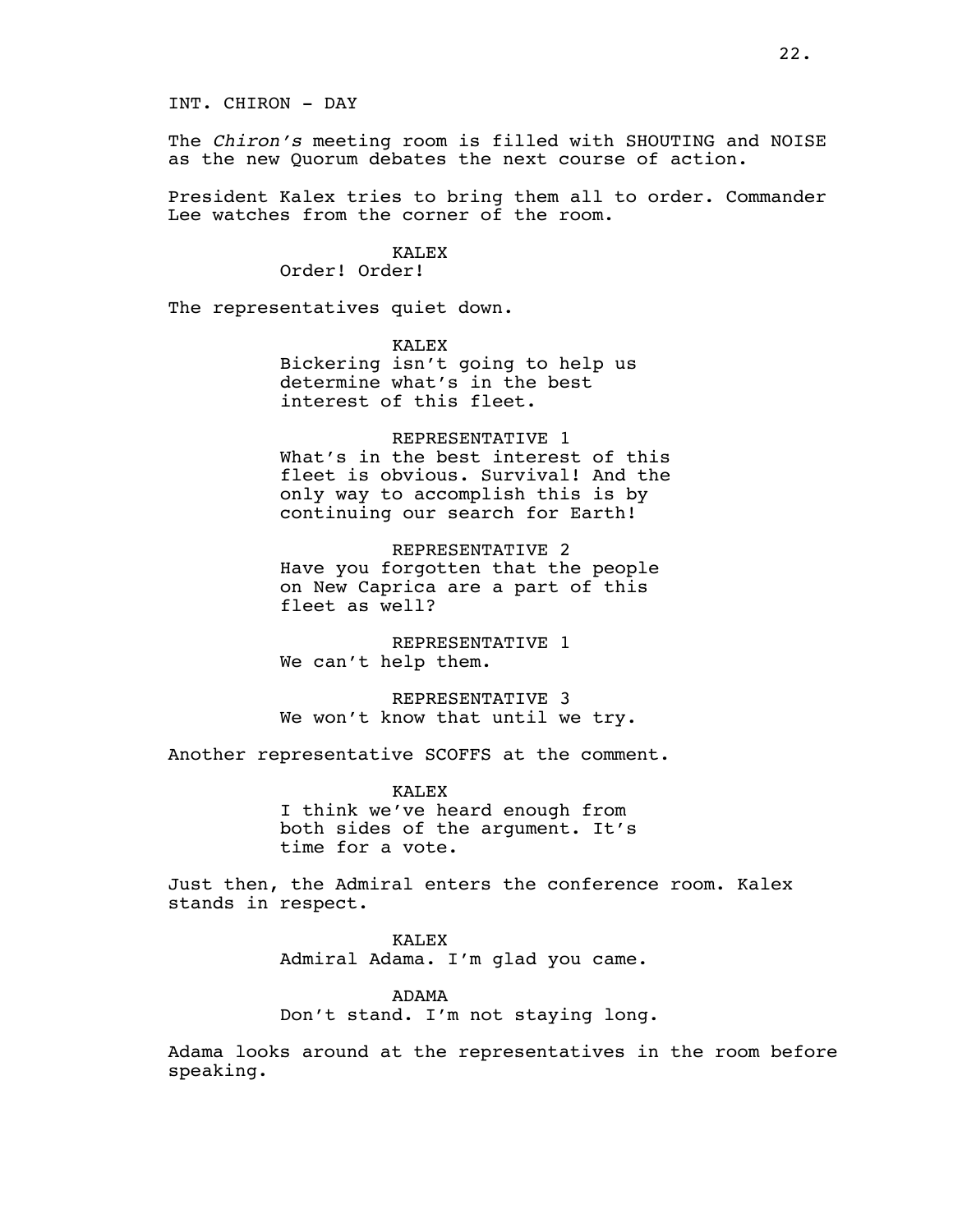The *Chiron's* meeting room is filled with SHOUTING and NOISE as the new Quorum debates the next course of action.

President Kalex tries to bring them all to order. Commander Lee watches from the corner of the room.

# KALEX

Order! Order!

The representatives quiet down.

KALEX Bickering isn't going to help us determine what's in the best interest of this fleet.

REPRESENTATIVE 1 What's in the best interest of this fleet is obvious. Survival! And the only way to accomplish this is by continuing our search for Earth!

REPRESENTATIVE 2 Have you forgotten that the people on New Caprica are a part of this fleet as well?

REPRESENTATIVE 1 We can't help them.

REPRESENTATIVE 3 We won't know that until we try.

Another representative SCOFFS at the comment.

KALEX I think we've heard enough from both sides of the argument. It's time for a vote.

Just then, the Admiral enters the conference room. Kalex stands in respect.

> KALEX Admiral Adama. I'm glad you came.

ADAMA Don't stand. I'm not staying long.

Adama looks around at the representatives in the room before speaking.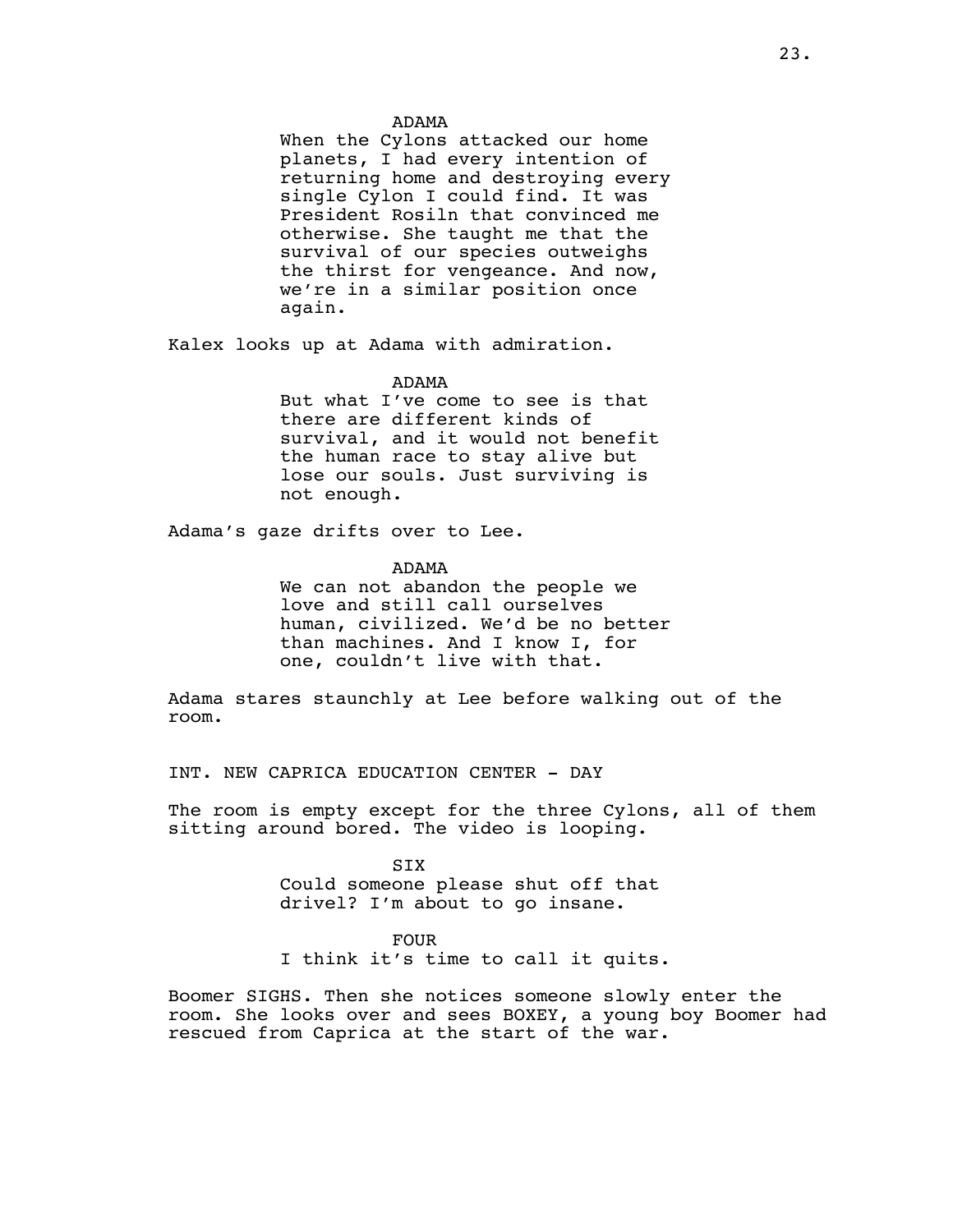#### ADAMA

When the Cylons attacked our home planets, I had every intention of returning home and destroying every single Cylon I could find. It was President Rosiln that convinced me otherwise. She taught me that the survival of our species outweighs the thirst for vengeance. And now, we're in a similar position once again.

Kalex looks up at Adama with admiration.

#### ADAMA

But what I've come to see is that there are different kinds of survival, and it would not benefit the human race to stay alive but lose our souls. Just surviving is not enough.

Adama's gaze drifts over to Lee.

ADAMA

We can not abandon the people we love and still call ourselves human, civilized. We'd be no better than machines. And I know I, for one, couldn't live with that.

Adama stares staunchly at Lee before walking out of the room.

INT. NEW CAPRICA EDUCATION CENTER - DAY

The room is empty except for the three Cylons, all of them sitting around bored. The video is looping.

> SIX Could someone please shut off that drivel? I'm about to go insane.

### FOUR

I think it's time to call it quits.

Boomer SIGHS. Then she notices someone slowly enter the room. She looks over and sees BOXEY, a young boy Boomer had rescued from Caprica at the start of the war.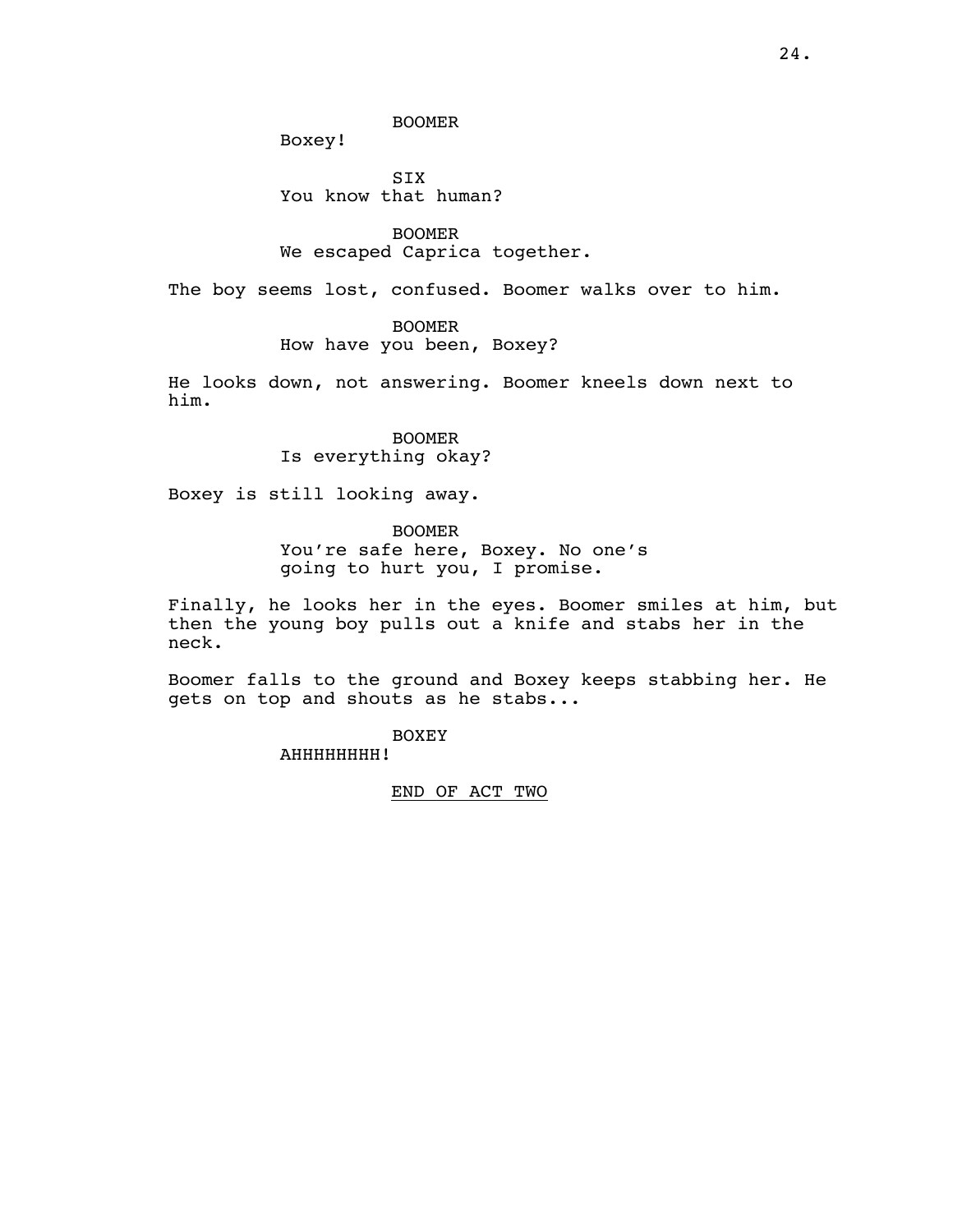BOOMER

Boxey!

**STX** You know that human?

BOOMER We escaped Caprica together.

The boy seems lost, confused. Boomer walks over to him.

BOOMER

How have you been, Boxey?

He looks down, not answering. Boomer kneels down next to him.

> BOOMER Is everything okay?

Boxey is still looking away.

BOOMER

You're safe here, Boxey. No one's going to hurt you, I promise.

Finally, he looks her in the eyes. Boomer smiles at him, but then the young boy pulls out a knife and stabs her in the neck.

Boomer falls to the ground and Boxey keeps stabbing her. He gets on top and shouts as he stabs...

BOXEY

AHHHHHHHH!

END OF ACT TWO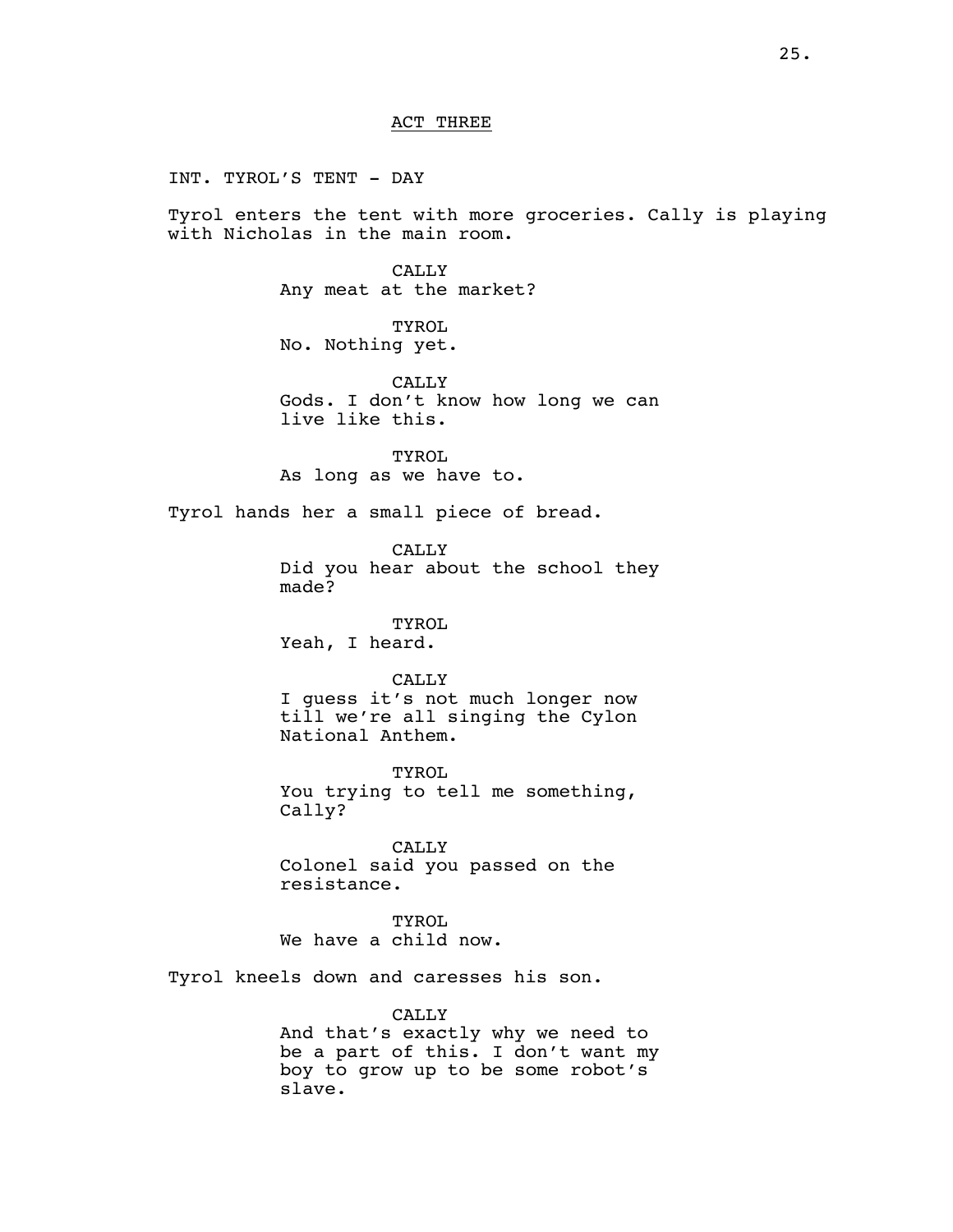INT. TYROL'S TENT - DAY

Tyrol enters the tent with more groceries. Cally is playing with Nicholas in the main room.

> CALLY Any meat at the market?

TYROL No. Nothing yet.

CALLY Gods. I don't know how long we can live like this.

TYROL As long as we have to.

Tyrol hands her a small piece of bread.

CALLY Did you hear about the school they made?

TYROL Yeah, I heard.

### CALLY

I guess it's not much longer now till we're all singing the Cylon National Anthem.

TYROL You trying to tell me something, Cally?

CALLY Colonel said you passed on the resistance.

TYROL We have a child now.

Tyrol kneels down and caresses his son.

CALLY

And that's exactly why we need to be a part of this. I don't want my boy to grow up to be some robot's slave.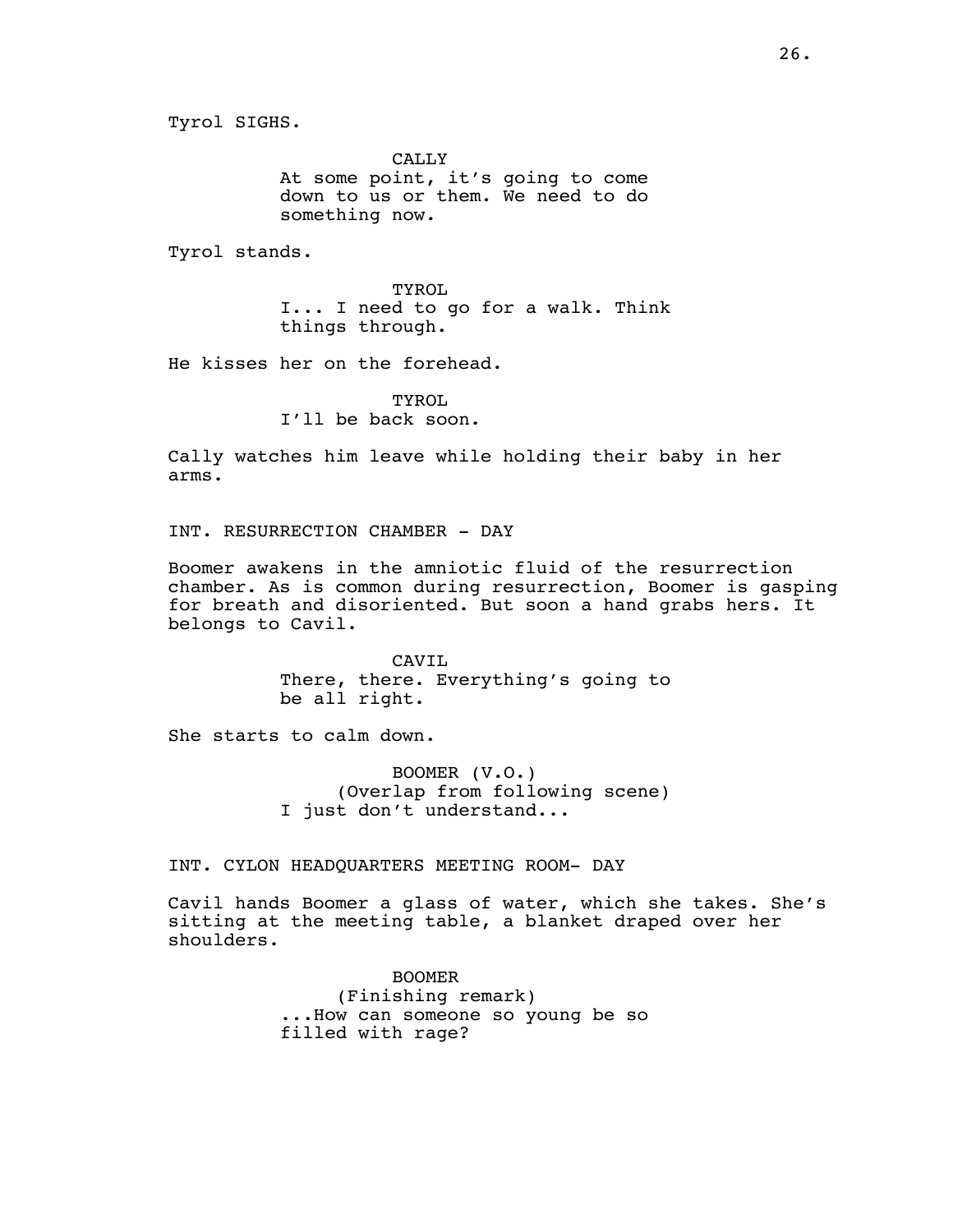CALLY At some point, it's going to come down to us or them. We need to do something now.

Tyrol stands.

TYROL I... I need to go for a walk. Think things through.

He kisses her on the forehead.

**TYROL** I'll be back soon.

Cally watches him leave while holding their baby in her arms.

INT. RESURRECTION CHAMBER - DAY

Boomer awakens in the amniotic fluid of the resurrection chamber. As is common during resurrection, Boomer is gasping for breath and disoriented. But soon a hand grabs hers. It belongs to Cavil.

> CAVIL There, there. Everything's going to be all right.

She starts to calm down.

BOOMER (V.O.) (Overlap from following scene) I just don't understand...

INT. CYLON HEADQUARTERS MEETING ROOM- DAY

Cavil hands Boomer a glass of water, which she takes. She's sitting at the meeting table, a blanket draped over her shoulders.

> BOOMER (Finishing remark) ...How can someone so young be so filled with rage?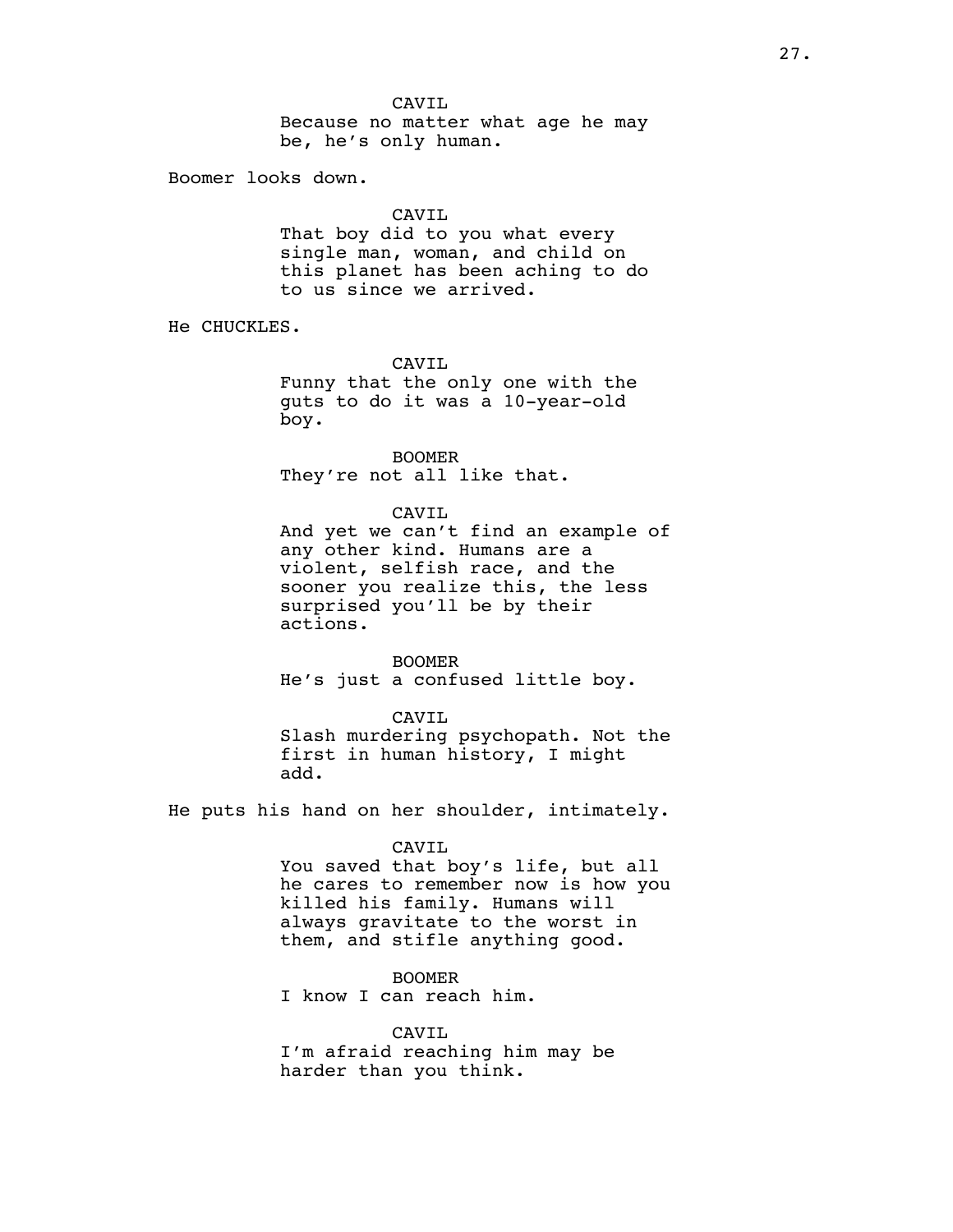CAVIL Because no matter what age he may be, he's only human.

Boomer looks down.

### CAVIL

That boy did to you what every single man, woman, and child on this planet has been aching to do to us since we arrived.

He CHUCKLES.

CAVIL

Funny that the only one with the guts to do it was a 10-year-old boy.

BOOMER They're not all like that.

#### CAVIL

And yet we can't find an example of any other kind. Humans are a violent, selfish race, and the sooner you realize this, the less surprised you'll be by their actions.

BOOMER He's just a confused little boy.

#### CAVIL

Slash murdering psychopath. Not the first in human history, I might add.

He puts his hand on her shoulder, intimately.

#### CAVIL

You saved that boy's life, but all he cares to remember now is how you killed his family. Humans will always gravitate to the worst in them, and stifle anything good.

### BOOMER

I know I can reach him.

CAVIL I'm afraid reaching him may be harder than you think.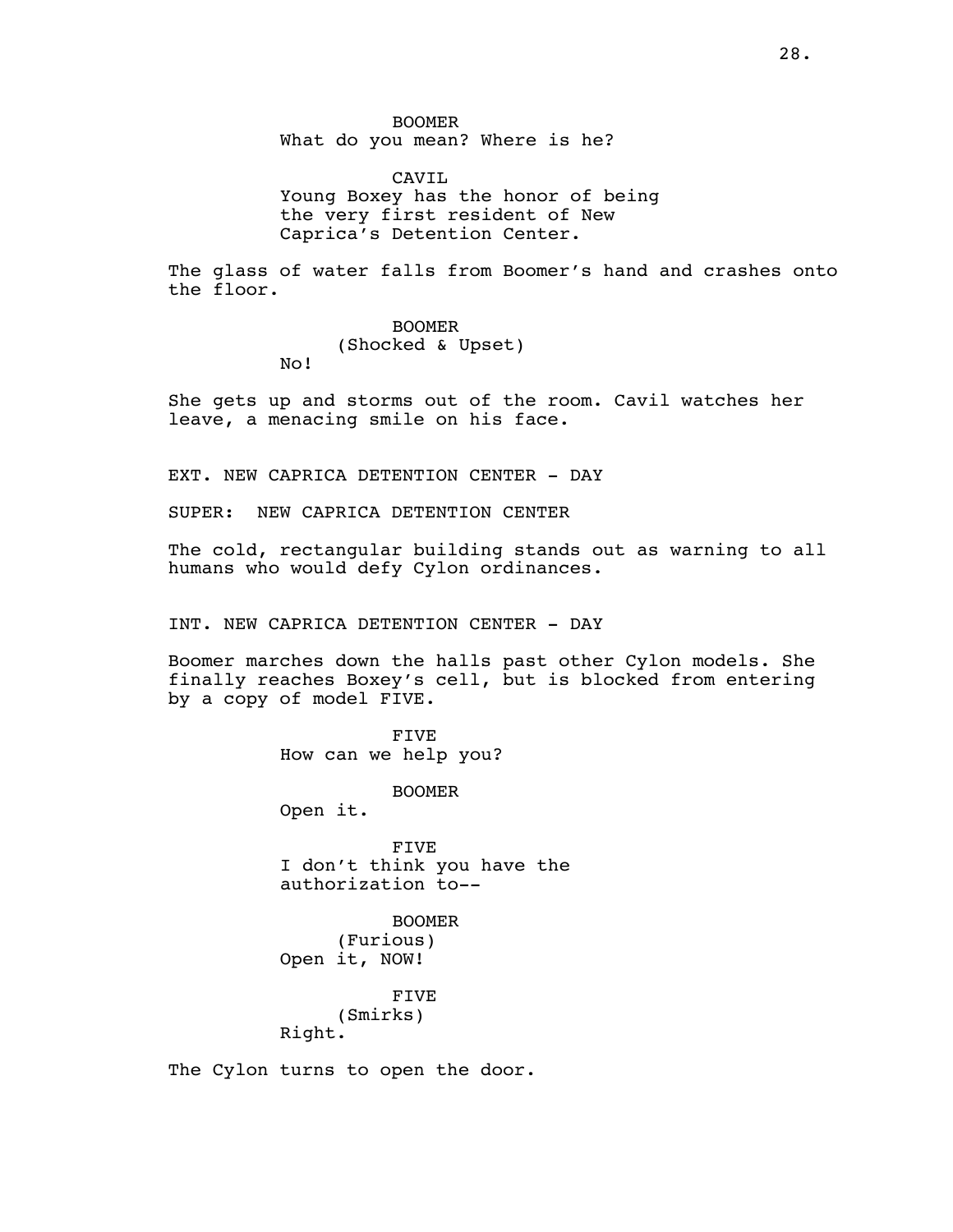BOOMER What do you mean? Where is he?

CAVT<sub>L</sub> Young Boxey has the honor of being the very first resident of New Caprica's Detention Center.

The glass of water falls from Boomer's hand and crashes onto the floor.

> BOOMER (Shocked & Upset)

She gets up and storms out of the room. Cavil watches her leave, a menacing smile on his face.

EXT. NEW CAPRICA DETENTION CENTER - DAY

SUPER: NEW CAPRICA DETENTION CENTER

No!

The cold, rectangular building stands out as warning to all humans who would defy Cylon ordinances.

INT. NEW CAPRICA DETENTION CENTER - DAY

Boomer marches down the halls past other Cylon models. She finally reaches Boxey's cell, but is blocked from entering by a copy of model FIVE.

> FIVE How can we help you?

> > BOOMER

Open it.

FIVE I don't think you have the authorization to--

BOOMER (Furious) Open it, NOW!

> FIVE (Smirks)

Right.

The Cylon turns to open the door.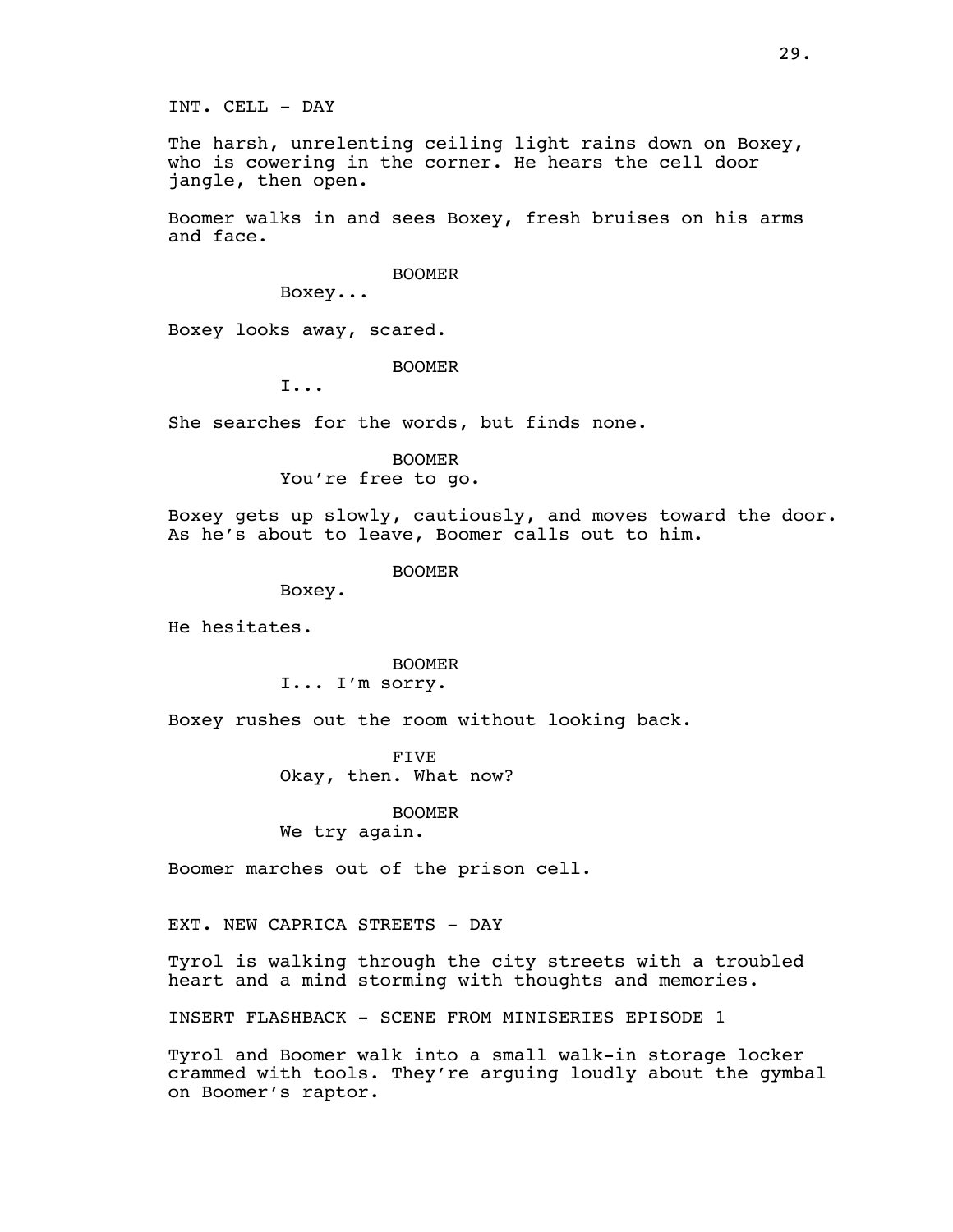INT. CELL - DAY

The harsh, unrelenting ceiling light rains down on Boxey, who is cowering in the corner. He hears the cell door jangle, then open.

Boomer walks in and sees Boxey, fresh bruises on his arms and face.

BOOMER

Boxey...

Boxey looks away, scared.

BOOMER

I...

She searches for the words, but finds none.

BOOMER You're free to go.

Boxey gets up slowly, cautiously, and moves toward the door. As he's about to leave, Boomer calls out to him.

BOOMER

Boxey.

He hesitates.

BOOMER I... I'm sorry.

Boxey rushes out the room without looking back.

FIVE Okay, then. What now?

BOOMER We try again.

Boomer marches out of the prison cell.

EXT. NEW CAPRICA STREETS - DAY

Tyrol is walking through the city streets with a troubled heart and a mind storming with thoughts and memories.

INSERT FLASHBACK - SCENE FROM MINISERIES EPISODE 1

Tyrol and Boomer walk into a small walk-in storage locker crammed with tools. They're arguing loudly about the gymbal on Boomer's raptor.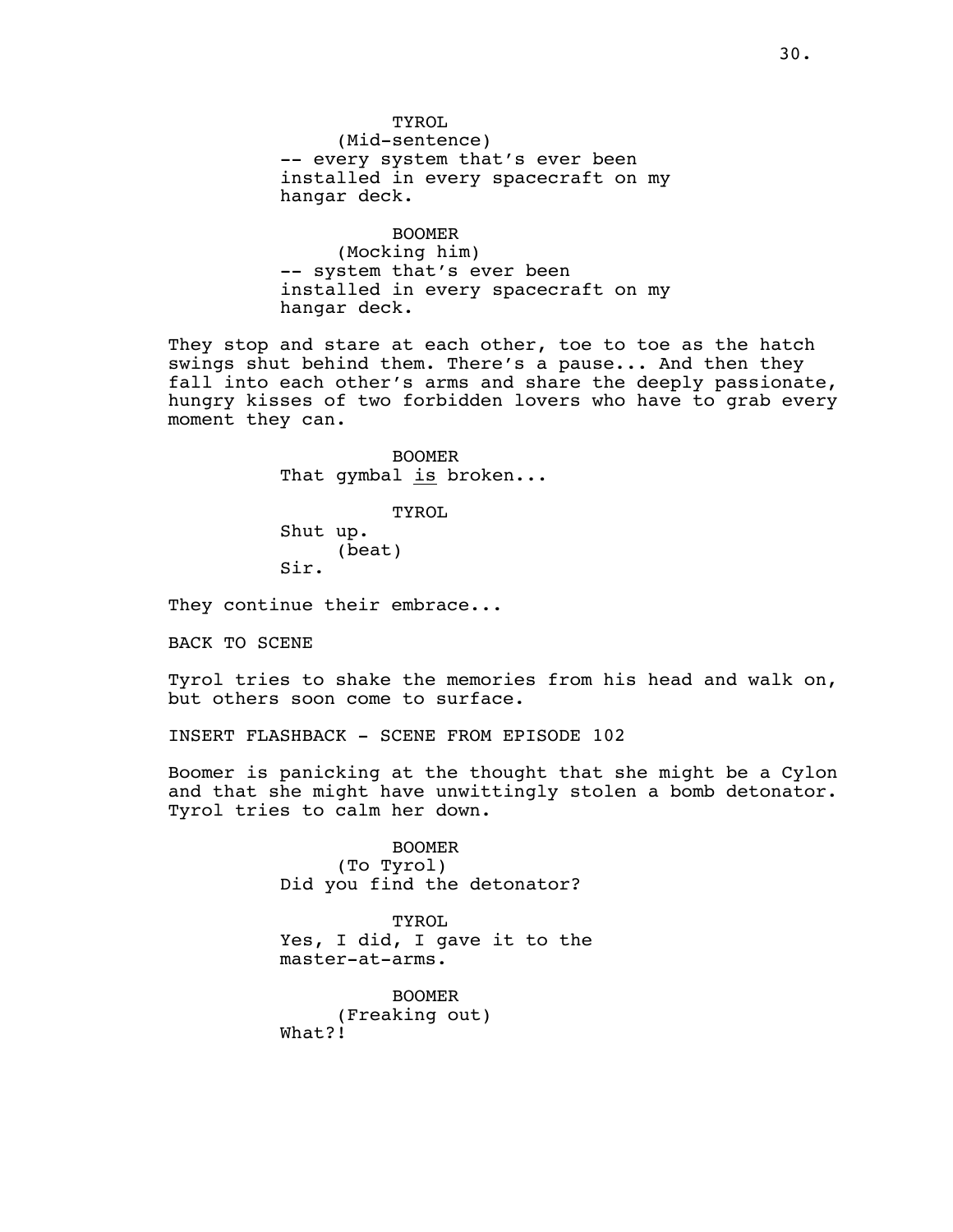TYROL (Mid-sentence) -- every system that's ever been installed in every spacecraft on my hangar deck.

BOOMER (Mocking him) -- system that's ever been installed in every spacecraft on my hangar deck.

They stop and stare at each other, toe to toe as the hatch swings shut behind them. There's a pause... And then they fall into each other's arms and share the deeply passionate, hungry kisses of two forbidden lovers who have to grab every moment they can.

> BOOMER That gymbal is broken...

TYROL Shut up. (beat) Sir.

They continue their embrace...

BACK TO SCENE

Tyrol tries to shake the memories from his head and walk on, but others soon come to surface.

INSERT FLASHBACK - SCENE FROM EPISODE 102

Boomer is panicking at the thought that she might be a Cylon and that she might have unwittingly stolen a bomb detonator. Tyrol tries to calm her down.

> BOOMER (To Tyrol) Did you find the detonator?

TYROL Yes, I did, I gave it to the master-at-arms.

BOOMER (Freaking out) What?!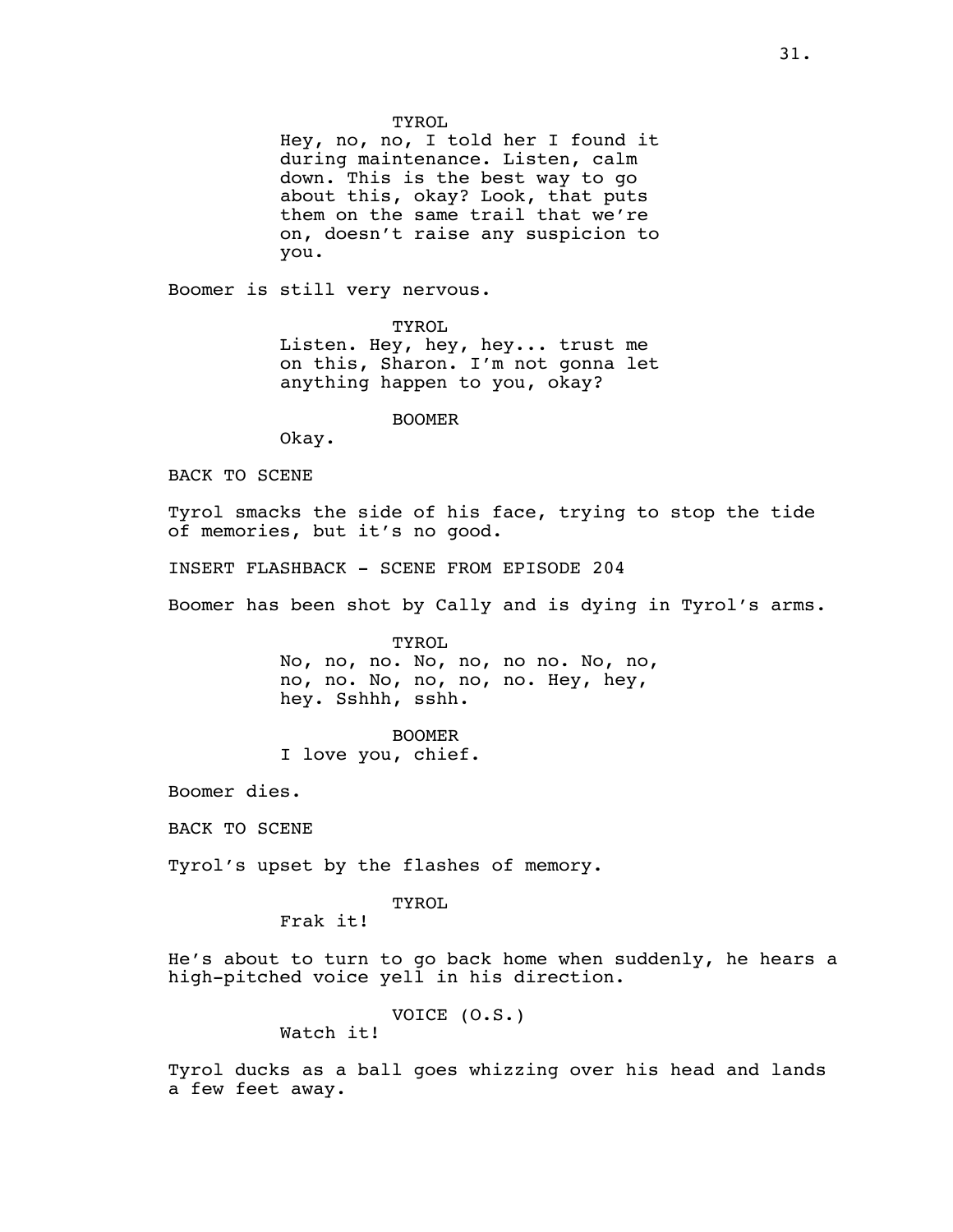Hey, no, no, I told her I found it during maintenance. Listen, calm down. This is the best way to go about this, okay? Look, that puts them on the same trail that we're on, doesn't raise any suspicion to you.

Boomer is still very nervous.

TYROL Listen. Hey, hey, hey... trust me on this, Sharon. I'm not gonna let anything happen to you, okay?

BOOMER

Okay.

BACK TO SCENE

Tyrol smacks the side of his face, trying to stop the tide of memories, but it's no good.

INSERT FLASHBACK - SCENE FROM EPISODE 204

Boomer has been shot by Cally and is dying in Tyrol's arms.

TYROL No, no, no. No, no, no no. No, no, no, no. No, no, no, no. Hey, hey, hey. Sshhh, sshh.

BOOMER

I love you, chief.

Boomer dies.

BACK TO SCENE

Tyrol's upset by the flashes of memory.

TYROL

Frak it!

He's about to turn to go back home when suddenly, he hears a high-pitched voice yell in his direction.

> VOICE (O.S.) Watch it!

Tyrol ducks as a ball goes whizzing over his head and lands a few feet away.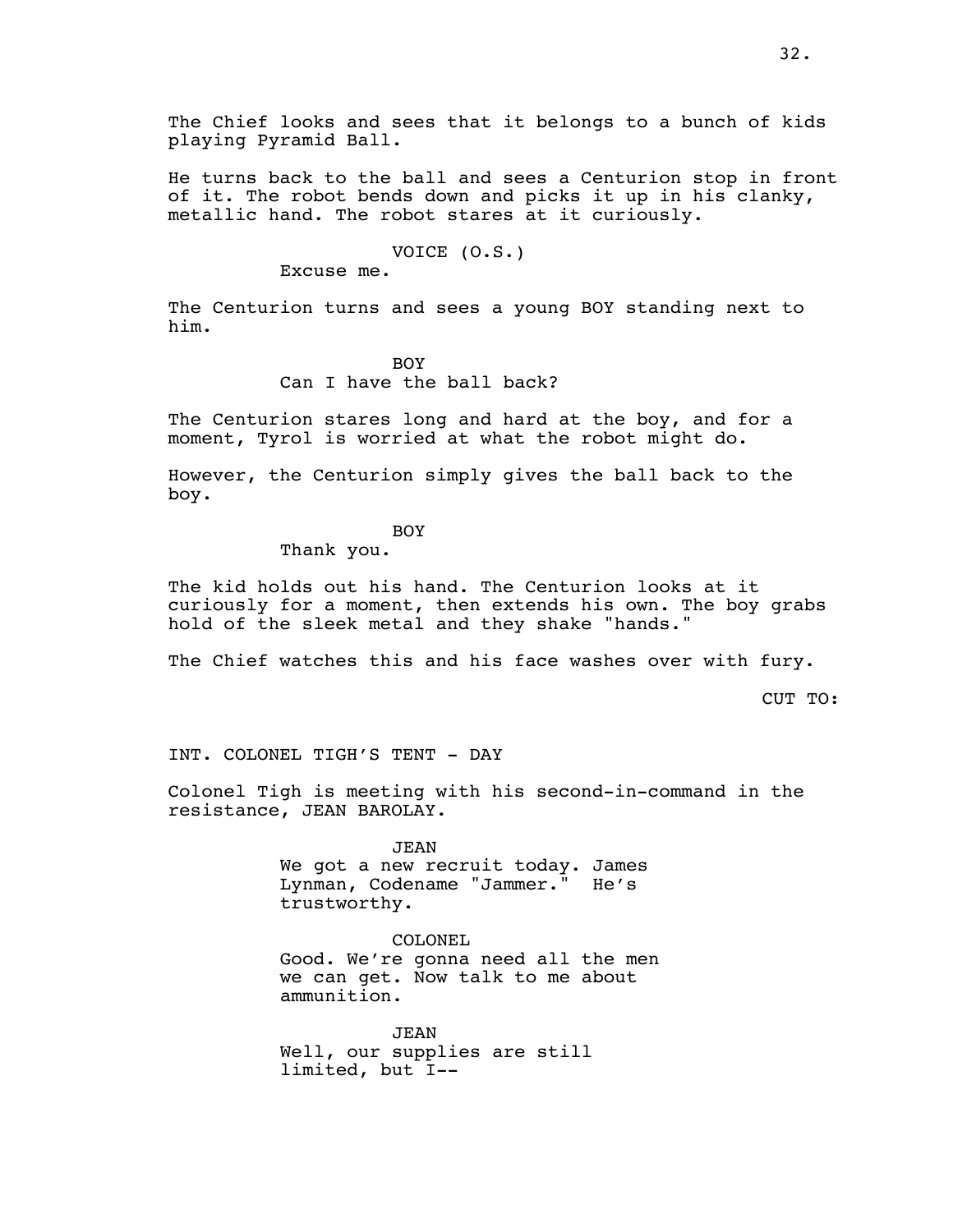The Chief looks and sees that it belongs to a bunch of kids playing Pyramid Ball.

He turns back to the ball and sees a Centurion stop in front of it. The robot bends down and picks it up in his clanky, metallic hand. The robot stares at it curiously.

# VOICE (O.S.)

Excuse me.

The Centurion turns and sees a young BOY standing next to him.

> BOY Can I have the ball back?

The Centurion stares long and hard at the boy, and for a moment, Tyrol is worried at what the robot might do.

However, the Centurion simply gives the ball back to the boy.

### BOY

Thank you.

The kid holds out his hand. The Centurion looks at it curiously for a moment, then extends his own. The boy grabs hold of the sleek metal and they shake "hands."

The Chief watches this and his face washes over with fury.

CUT TO:

INT. COLONEL TIGH'S TENT - DAY

Colonel Tigh is meeting with his second-in-command in the resistance, JEAN BAROLAY.

> JEAN We got a new recruit today. James Lynman, Codename "Jammer." He's trustworthy.

COLONEL Good. We're gonna need all the men we can get. Now talk to me about ammunition.

JEAN Well, our supplies are still limited, but I--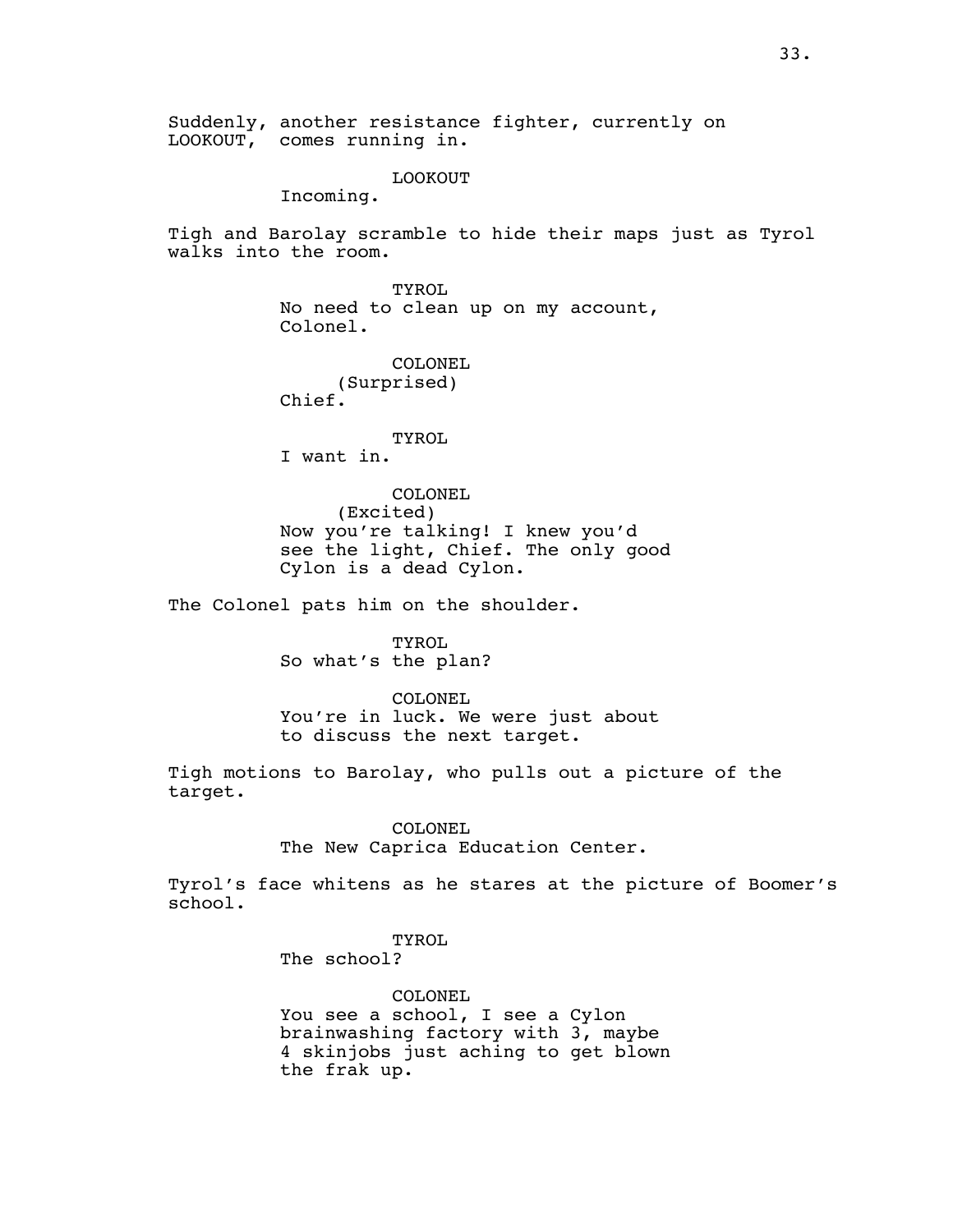Suddenly, another resistance fighter, currently on LOOKOUT, comes running in.

LOOKOUT

Incoming.

Tigh and Barolay scramble to hide their maps just as Tyrol walks into the room.

> TYROL No need to clean up on my account, Colonel.

COLONEL (Surprised) Chief.

TYROL I want in.

COLONEL (Excited) Now you're talking! I knew you'd see the light, Chief. The only good Cylon is a dead Cylon.

The Colonel pats him on the shoulder.

TYROL So what's the plan?

COLONEL You're in luck. We were just about to discuss the next target.

Tigh motions to Barolay, who pulls out a picture of the target.

COLONEL

The New Caprica Education Center.

Tyrol's face whitens as he stares at the picture of Boomer's school.

> TYROL The school?

COLONEL You see a school, I see a Cylon brainwashing factory with 3, maybe 4 skinjobs just aching to get blown the frak up.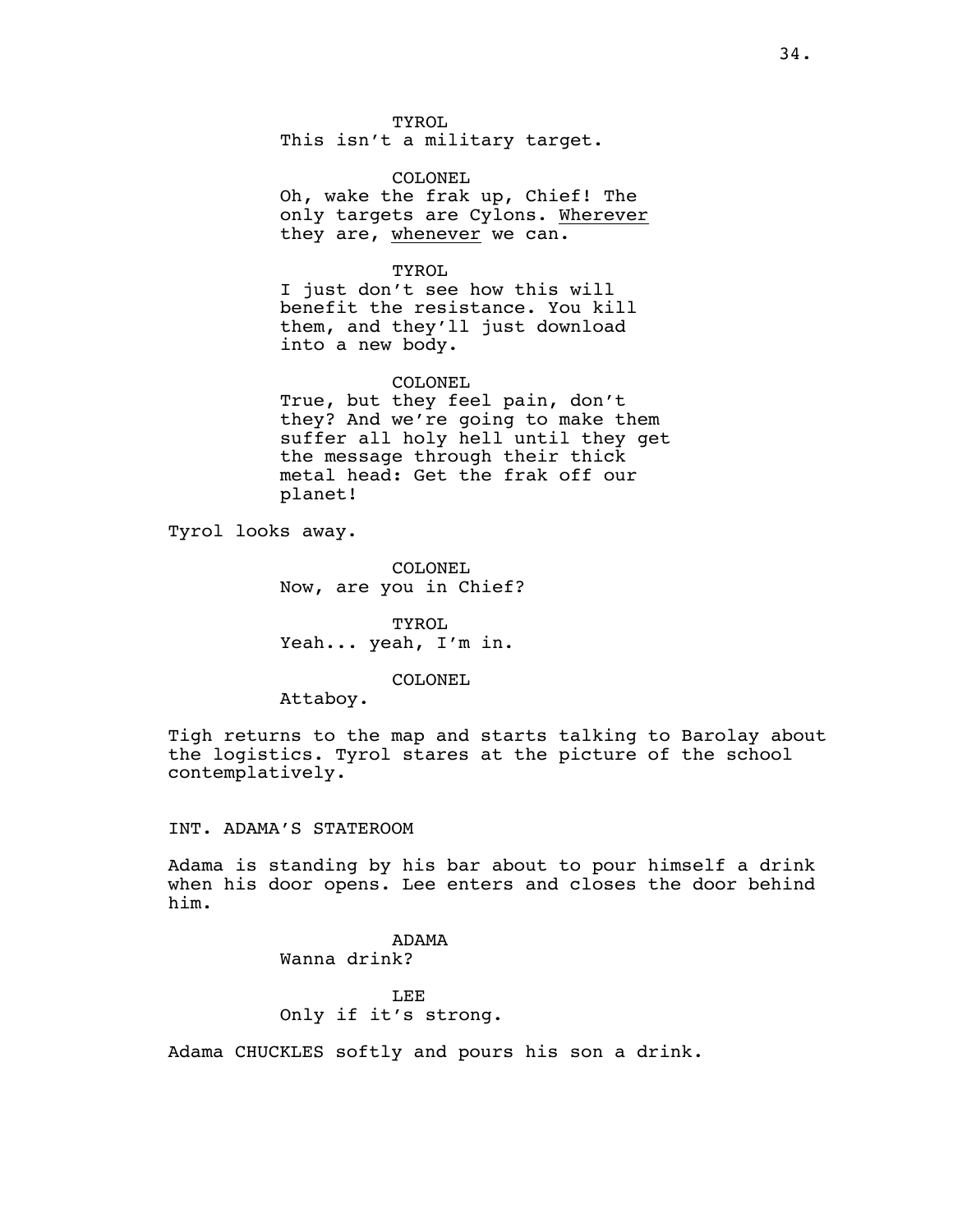TYROL This isn't a military target.

COLONEL Oh, wake the frak up, Chief! The only targets are Cylons. Wherever they are, whenever we can.

TYROL I just don't see how this will benefit the resistance. You kill them, and they'll just download into a new body.

COLONEL True, but they feel pain, don't they? And we're going to make them suffer all holy hell until they get the message through their thick metal head: Get the frak off our planet!

Tyrol looks away.

COLONEL Now, are you in Chief?

TYROL Yeah... yeah, I'm in.

COLONEL

Attaboy.

Tigh returns to the map and starts talking to Barolay about the logistics. Tyrol stares at the picture of the school contemplatively.

### INT. ADAMA'S STATEROOM

Adama is standing by his bar about to pour himself a drink when his door opens. Lee enters and closes the door behind him.

# ADAMA

Wanna drink?

LEE

# Only if it's strong.

Adama CHUCKLES softly and pours his son a drink.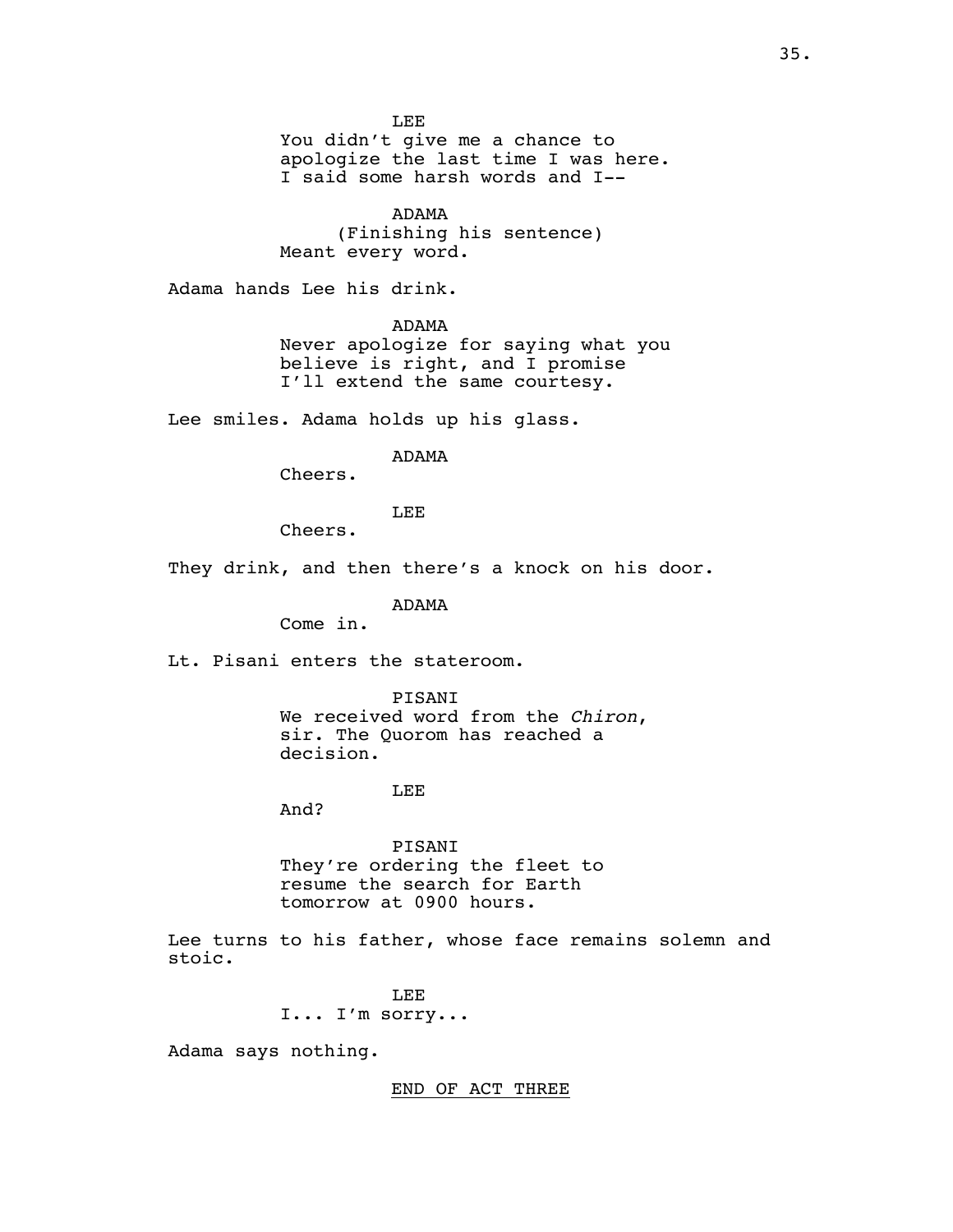LEE

You didn't give me a chance to apologize the last time I was here. I said some harsh words and I--

ADAMA

(Finishing his sentence) Meant every word.

Adama hands Lee his drink.

ADAMA

Never apologize for saying what you believe is right, and I promise I'll extend the same courtesy.

Lee smiles. Adama holds up his glass.

### ADAMA

Cheers.

LEE

Cheers.

They drink, and then there's a knock on his door.

ADAMA

Come in.

Lt. Pisani enters the stateroom.

PISANI<br>We received word from the *Chiron*, sir. The Quorom has reached a decision.

#### LEE

And?

PISANI They're ordering the fleet to resume the search for Earth tomorrow at 0900 hours.

Lee turns to his father, whose face remains solemn and stoic.

> LEE I... I'm sorry...

Adama says nothing.

END OF ACT THREE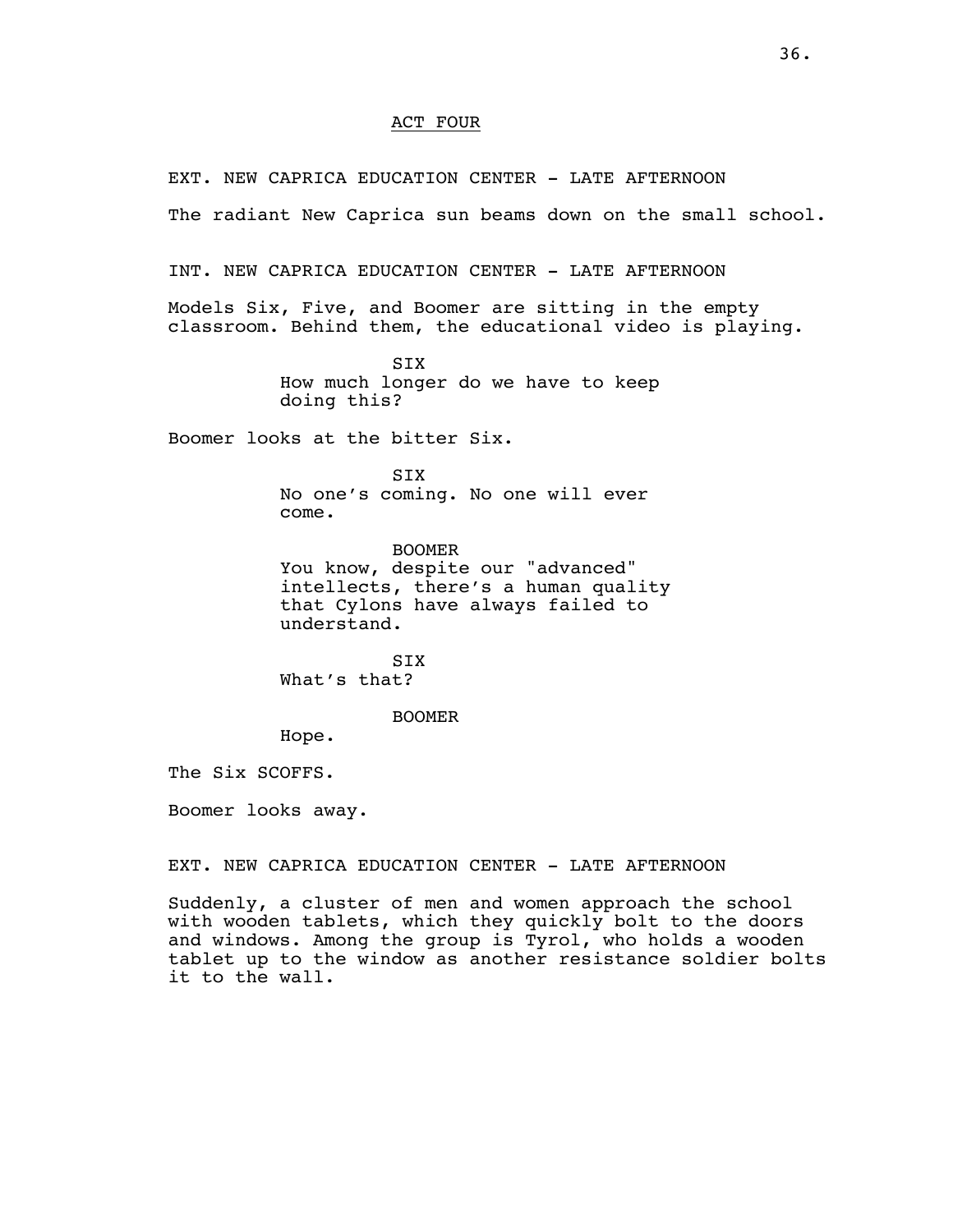### ACT FOUR

EXT. NEW CAPRICA EDUCATION CENTER - LATE AFTERNOON

The radiant New Caprica sun beams down on the small school.

INT. NEW CAPRICA EDUCATION CENTER - LATE AFTERNOON

Models Six, Five, and Boomer are sitting in the empty classroom. Behind them, the educational video is playing.

> SIX How much longer do we have to keep doing this?

Boomer looks at the bitter Six.

SIX

No one's coming. No one will ever come.

BOOMER You know, despite our "advanced" intellects, there's a human quality that Cylons have always failed to understand.

SIX What's that?

BOOMER

Hope.

The Six SCOFFS.

Boomer looks away.

EXT. NEW CAPRICA EDUCATION CENTER - LATE AFTERNOON

Suddenly, a cluster of men and women approach the school with wooden tablets, which they quickly bolt to the doors and windows. Among the group is Tyrol, who holds a wooden tablet up to the window as another resistance soldier bolts it to the wall.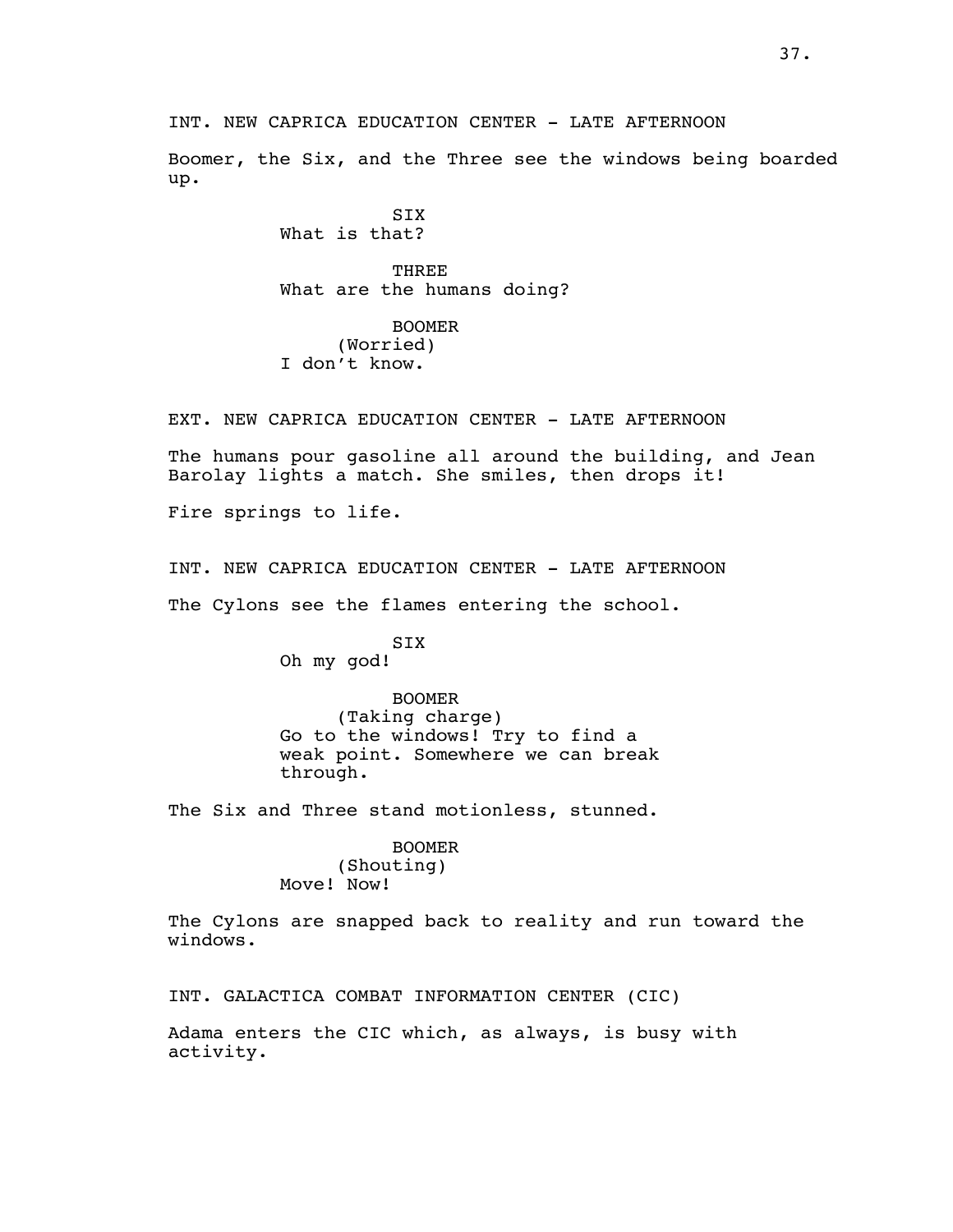INT. NEW CAPRICA EDUCATION CENTER - LATE AFTERNOON

Boomer, the Six, and the Three see the windows being boarded up.

> **STX** What is that?

**THREE** What are the humans doing?

BOOMER (Worried) I don't know.

EXT. NEW CAPRICA EDUCATION CENTER - LATE AFTERNOON

The humans pour gasoline all around the building, and Jean Barolay lights a match. She smiles, then drops it!

Fire springs to life.

INT. NEW CAPRICA EDUCATION CENTER - LATE AFTERNOON

The Cylons see the flames entering the school.

### SIX Oh my god!

BOOMER (Taking charge) Go to the windows! Try to find a weak point. Somewhere we can break through.

The Six and Three stand motionless, stunned.

### BOOMER

(Shouting) Move! Now!

The Cylons are snapped back to reality and run toward the windows.

INT. GALACTICA COMBAT INFORMATION CENTER (CIC)

Adama enters the CIC which, as always, is busy with activity.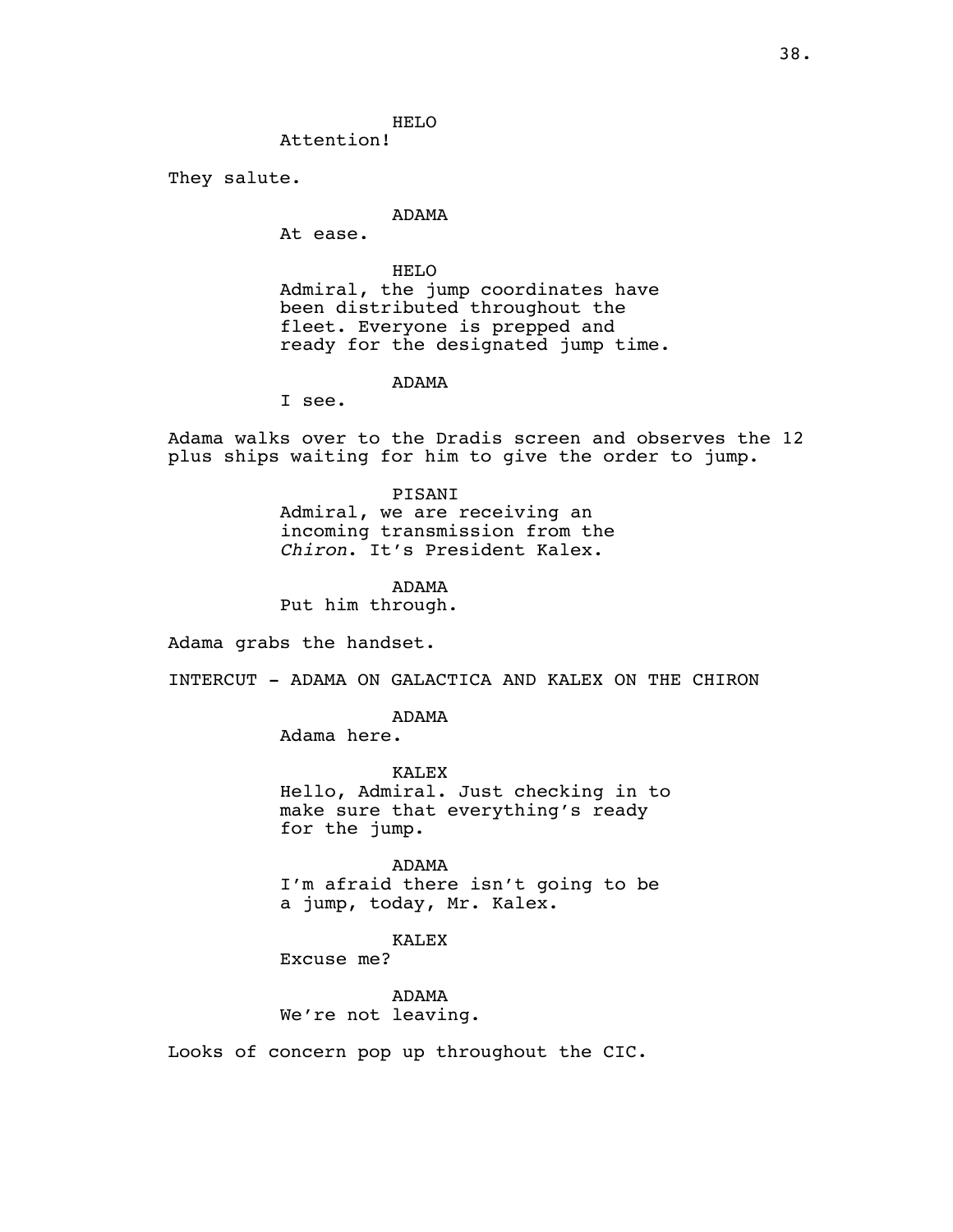HELO

Attention!

They salute.

## ADAMA

At ease.

HELO Admiral, the jump coordinates have been distributed throughout the fleet. Everyone is prepped and ready for the designated jump time.

ADAMA

I see.

Adama walks over to the Dradis screen and observes the 12 plus ships waiting for him to give the order to jump.

> PISANI Admiral, we are receiving an incoming transmission from the *Chiron*. It's President Kalex.

ADAMA Put him through.

Adama grabs the handset.

INTERCUT - ADAMA ON GALACTICA AND KALEX ON THE CHIRON

ADAMA

Adama here.

KALEX Hello, Admiral. Just checking in to make sure that everything's ready for the jump.

ADAMA I'm afraid there isn't going to be a jump, today, Mr. Kalex.

KALEX

Excuse me?

ADAMA We're not leaving.

Looks of concern pop up throughout the CIC.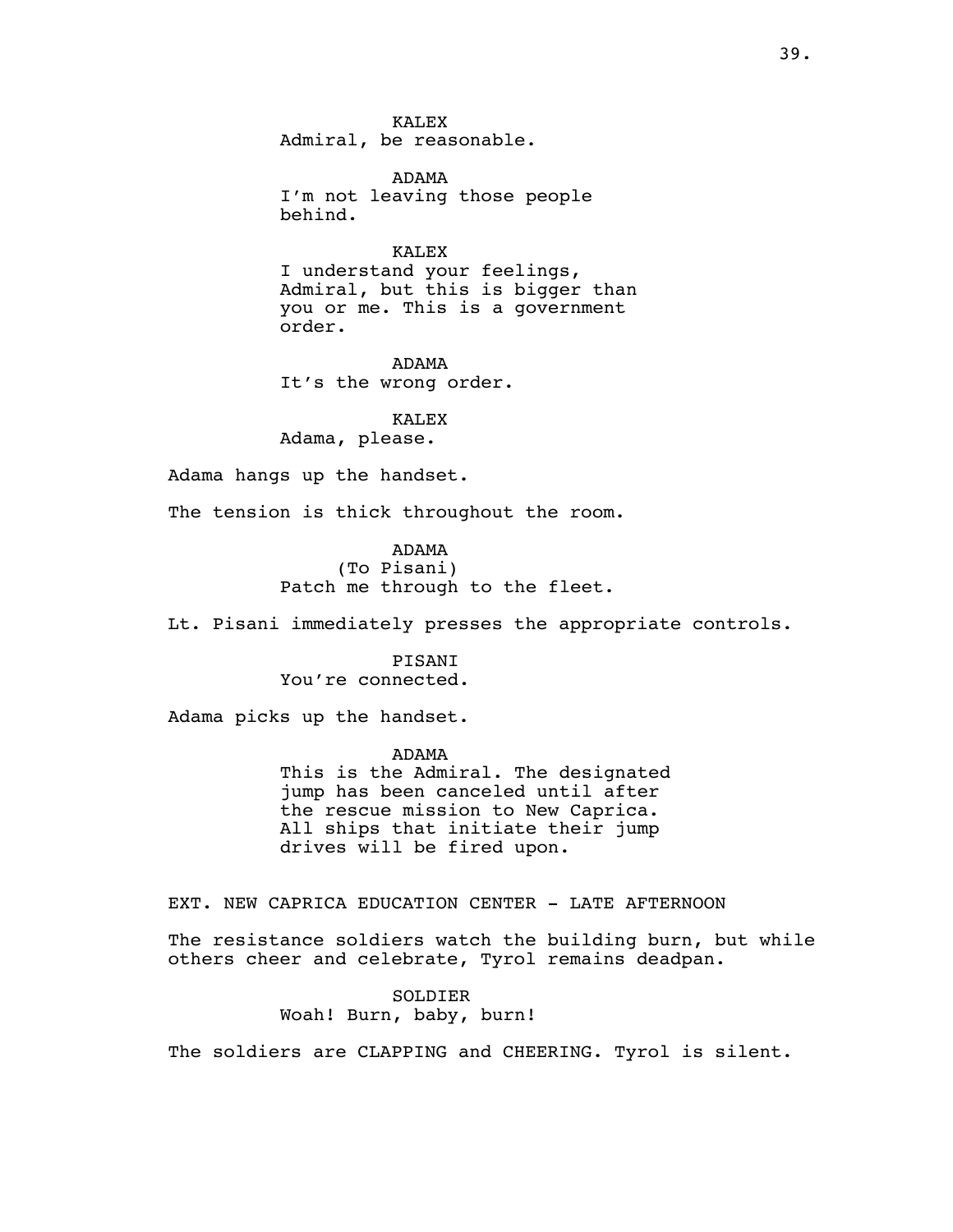KALEX Admiral, be reasonable.

ADAMA I'm not leaving those people behind.

KALEX I understand your feelings, Admiral, but this is bigger than you or me. This is a government order.

ADAMA It's the wrong order.

#### KALEX

Adama, please.

Adama hangs up the handset.

The tension is thick throughout the room.

ADAMA (To Pisani) Patch me through to the fleet.

Lt. Pisani immediately presses the appropriate controls.

### PISANI You're connected.

Adama picks up the handset.

ADAMA This is the Admiral. The designated jump has been canceled until after the rescue mission to New Caprica. All ships that initiate their jump drives will be fired upon.

EXT. NEW CAPRICA EDUCATION CENTER - LATE AFTERNOON

The resistance soldiers watch the building burn, but while others cheer and celebrate, Tyrol remains deadpan.

> SOLDIER Woah! Burn, baby, burn!

The soldiers are CLAPPING and CHEERING. Tyrol is silent.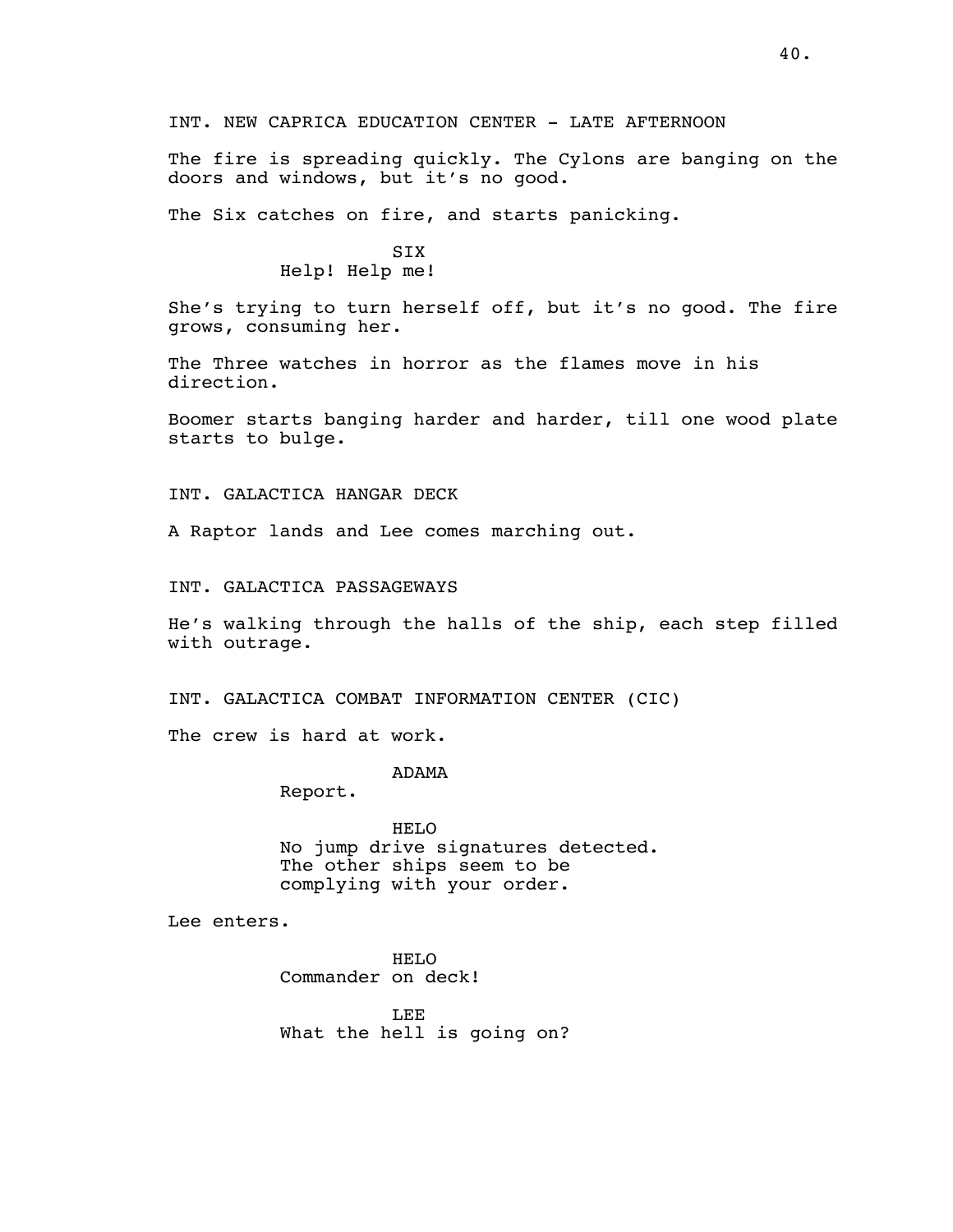The fire is spreading quickly. The Cylons are banging on the doors and windows, but it's no good.

The Six catches on fire, and starts panicking.

# **STX** Help! Help me!

She's trying to turn herself off, but it's no good. The fire grows, consuming her.

The Three watches in horror as the flames move in his direction.

Boomer starts banging harder and harder, till one wood plate starts to bulge.

INT. GALACTICA HANGAR DECK

A Raptor lands and Lee comes marching out.

INT. GALACTICA PASSAGEWAYS

He's walking through the halls of the ship, each step filled with outrage.

INT. GALACTICA COMBAT INFORMATION CENTER (CIC)

The crew is hard at work.

ADAMA

Report.

HELO No jump drive signatures detected. The other ships seem to be complying with your order.

Lee enters.

HELO Commander on deck!

LEE What the hell is going on?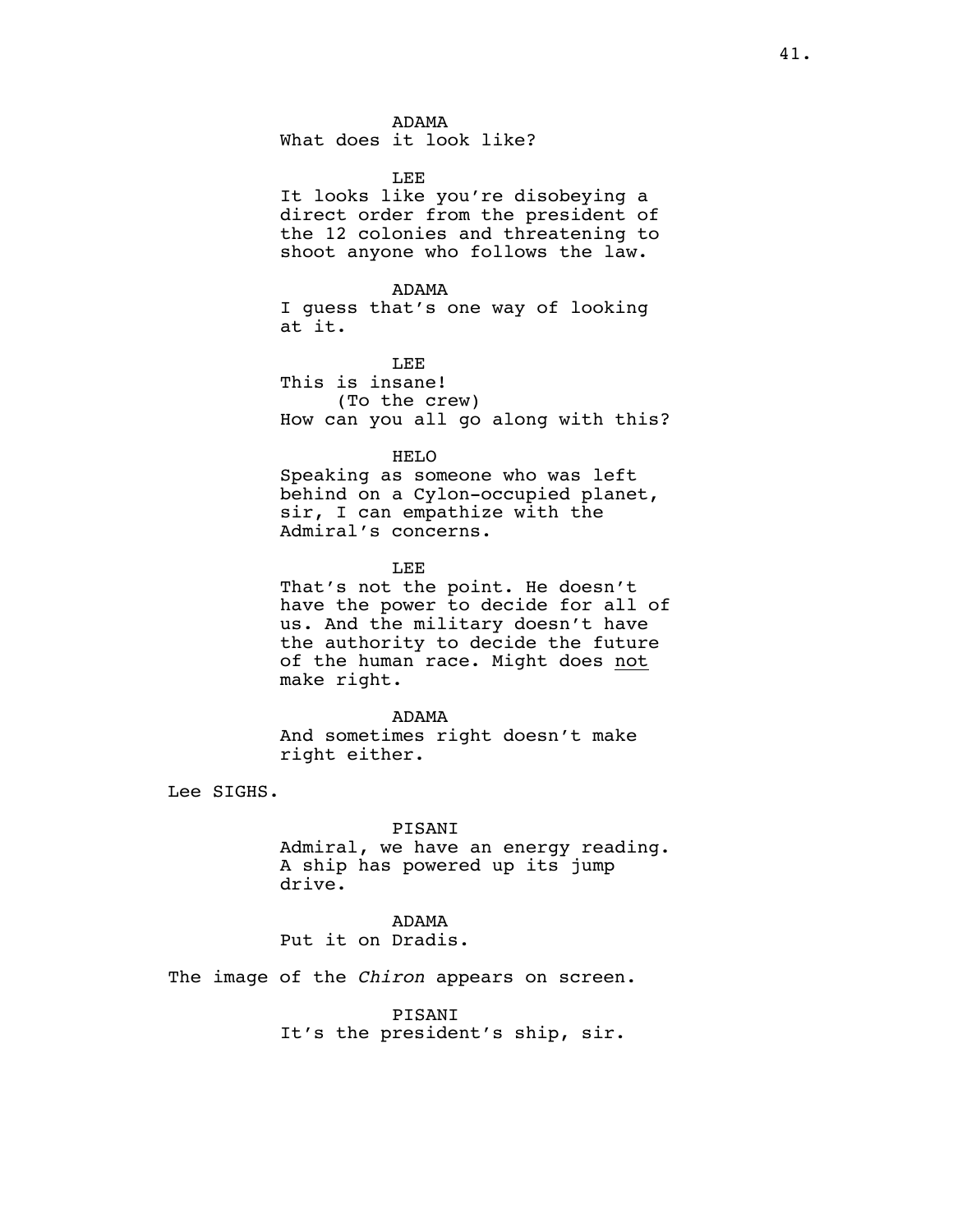ADAMA

What does it look like?

LEE

It looks like you're disobeying a direct order from the president of the 12 colonies and threatening to shoot anyone who follows the law.

ADAMA

I guess that's one way of looking at it.

LEE This is insane! (To the crew) How can you all go along with this?

HELO

Speaking as someone who was left behind on a Cylon-occupied planet, sir, I can empathize with the Admiral's concerns.

LEE

That's not the point. He doesn't have the power to decide for all of us. And the military doesn't have the authority to decide the future of the human race. Might does not make right.

ADAMA

And sometimes right doesn't make right either.

Lee SIGHS.

### PISANI

Admiral, we have an energy reading. A ship has powered up its jump drive.

ADAMA Put it on Dradis.

The image of the *Chiron* appears on screen.

PISANI It's the president's ship, sir.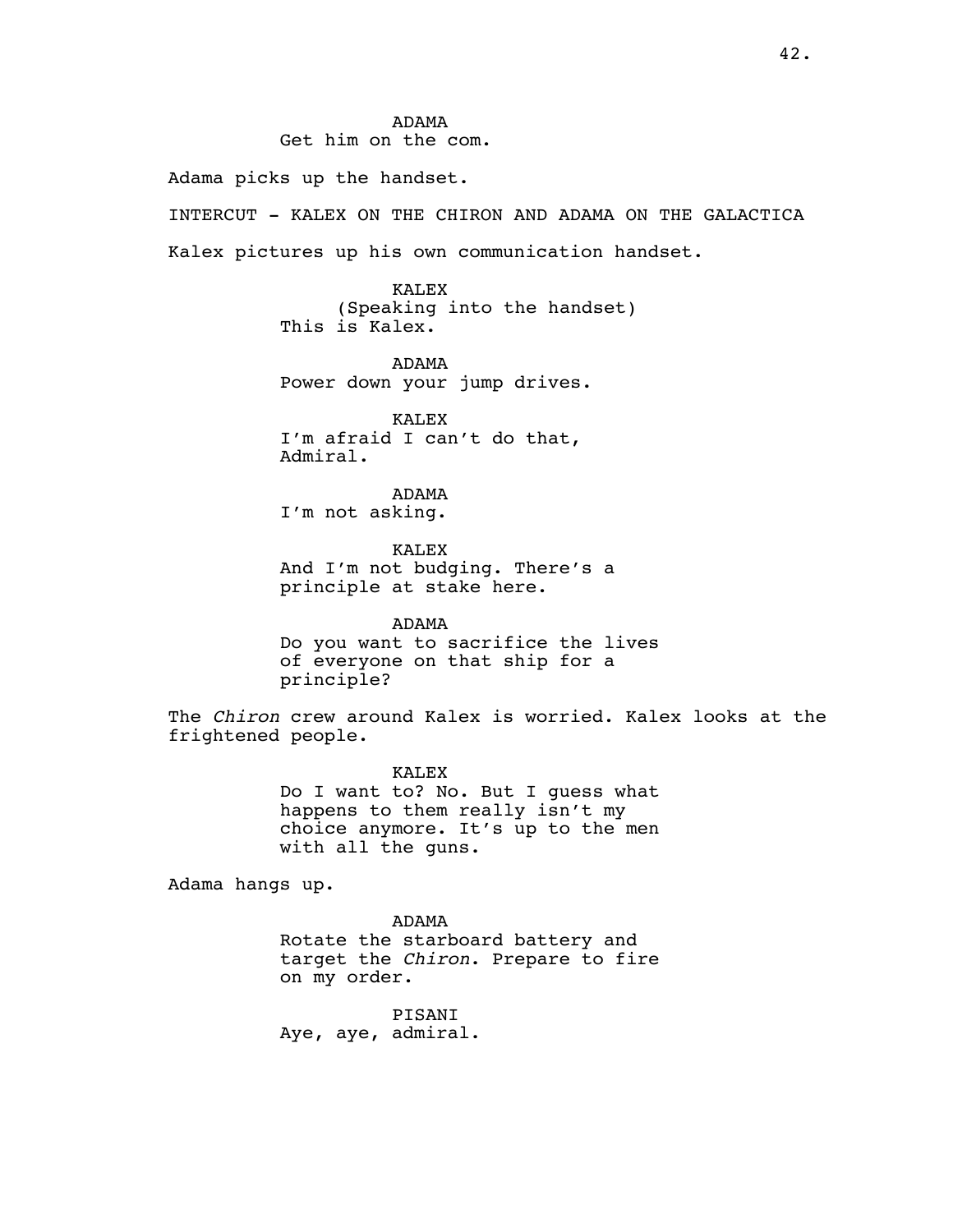# ADAMA

Get him on the com.

Adama picks up the handset.

INTERCUT - KALEX ON THE CHIRON AND ADAMA ON THE GALACTICA Kalex pictures up his own communication handset.

> KALEX (Speaking into the handset) This is Kalex.

ADAMA Power down your jump drives.

KALEX I'm afraid I can't do that, Admiral.

ADAMA I'm not asking.

KALEX And I'm not budging. There's a principle at stake here.

ADAMA Do you want to sacrifice the lives of everyone on that ship for a principle?

The *Chiron* crew around Kalex is worried. Kalex looks at the frightened people.

> KALEX Do I want to? No. But I guess what happens to them really isn't my choice anymore. It's up to the men with all the guns.

Adama hangs up.

ADAMA Rotate the starboard battery and target the *Chiron*. Prepare to fire on my order.

PISANI Aye, aye, admiral.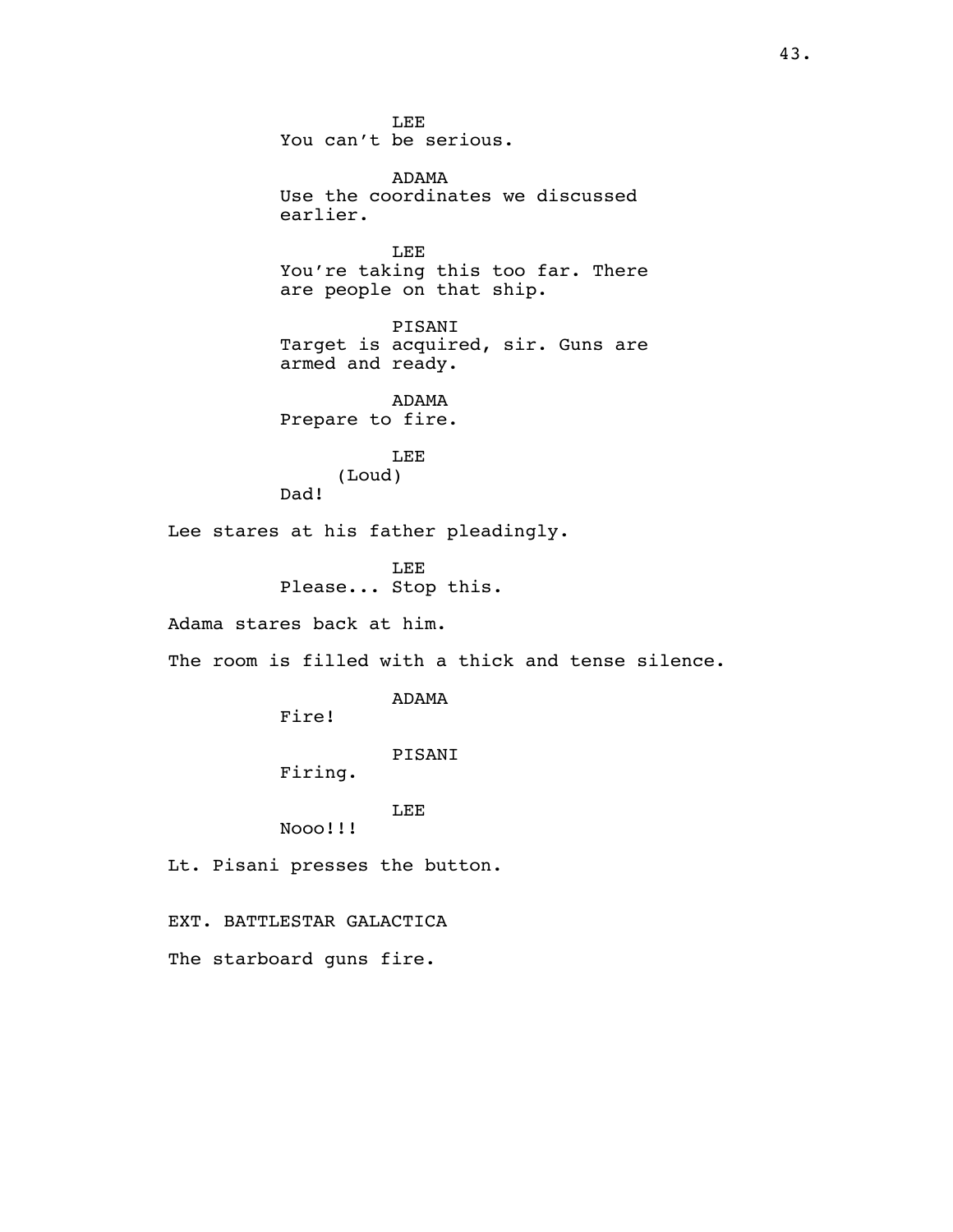LEE You can't be serious.

ADAMA Use the coordinates we discussed earlier.

LEE You're taking this too far. There are people on that ship.

PISANI Target is acquired, sir. Guns are armed and ready.

ADAMA Prepare to fire.

> LEE (Loud)

Lee stares at his father pleadingly.

LEE Please... Stop this.

Adama stares back at him.

Dad!

The room is filled with a thick and tense silence.

ADAMA

Fire!

PISANI

Firing.

LEE

Nooo!!!

Lt. Pisani presses the button.

EXT. BATTLESTAR GALACTICA

The starboard guns fire.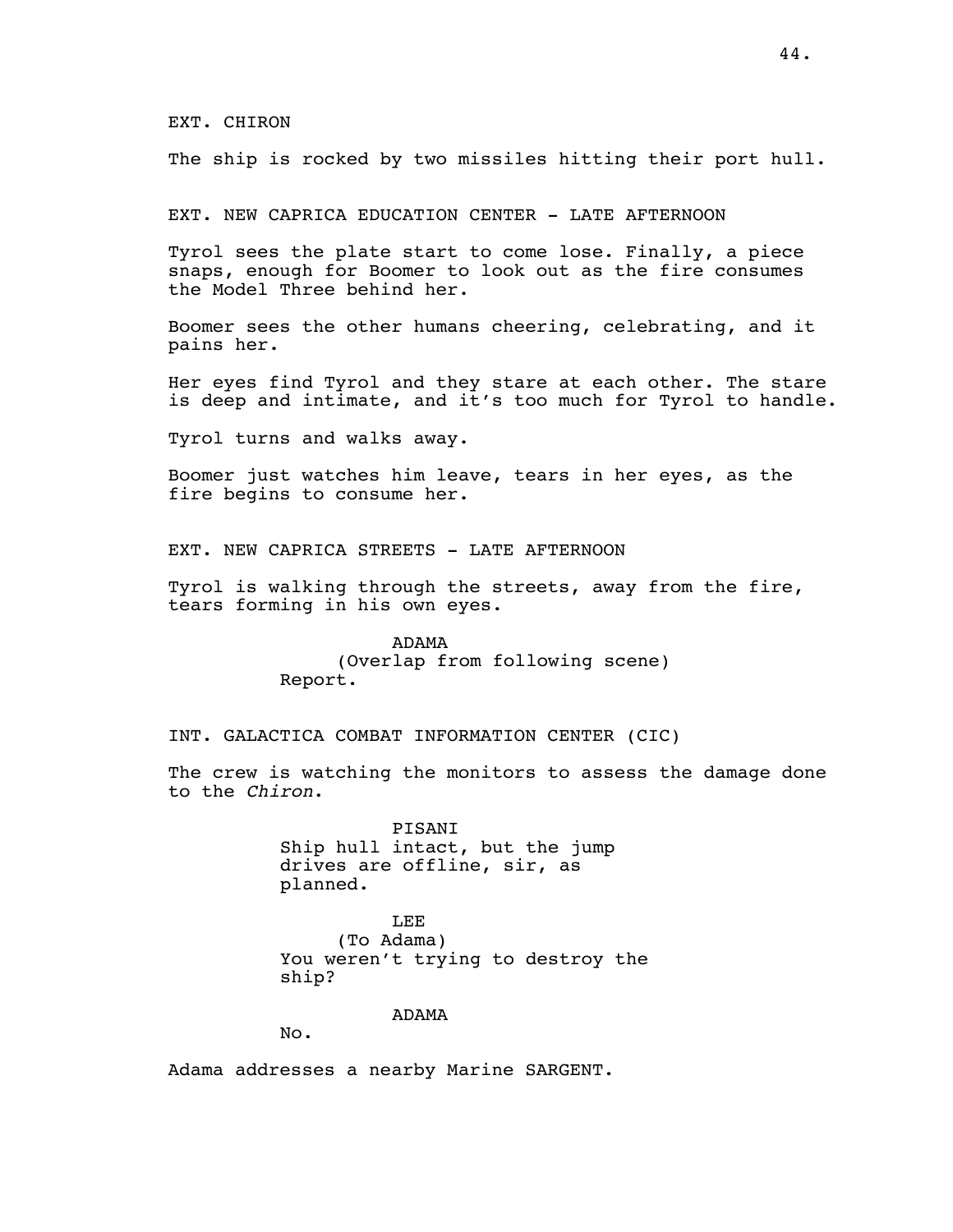EXT. CHIRON

The ship is rocked by two missiles hitting their port hull.

EXT. NEW CAPRICA EDUCATION CENTER - LATE AFTERNOON

Tyrol sees the plate start to come lose. Finally, a piece snaps, enough for Boomer to look out as the fire consumes the Model Three behind her.

Boomer sees the other humans cheering, celebrating, and it pains her.

Her eyes find Tyrol and they stare at each other. The stare is deep and intimate, and it's too much for Tyrol to handle.

Tyrol turns and walks away.

Boomer just watches him leave, tears in her eyes, as the fire begins to consume her.

EXT. NEW CAPRICA STREETS - LATE AFTERNOON

Tyrol is walking through the streets, away from the fire, tears forming in his own eyes.

> ADAMA (Overlap from following scene) Report.

INT. GALACTICA COMBAT INFORMATION CENTER (CIC)

The crew is watching the monitors to assess the damage done to the *Chiron*.

> PISANI Ship hull intact, but the jump drives are offline, sir, as planned.

LEE (To Adama) You weren't trying to destroy the ship?

ADAMA

No.

Adama addresses a nearby Marine SARGENT.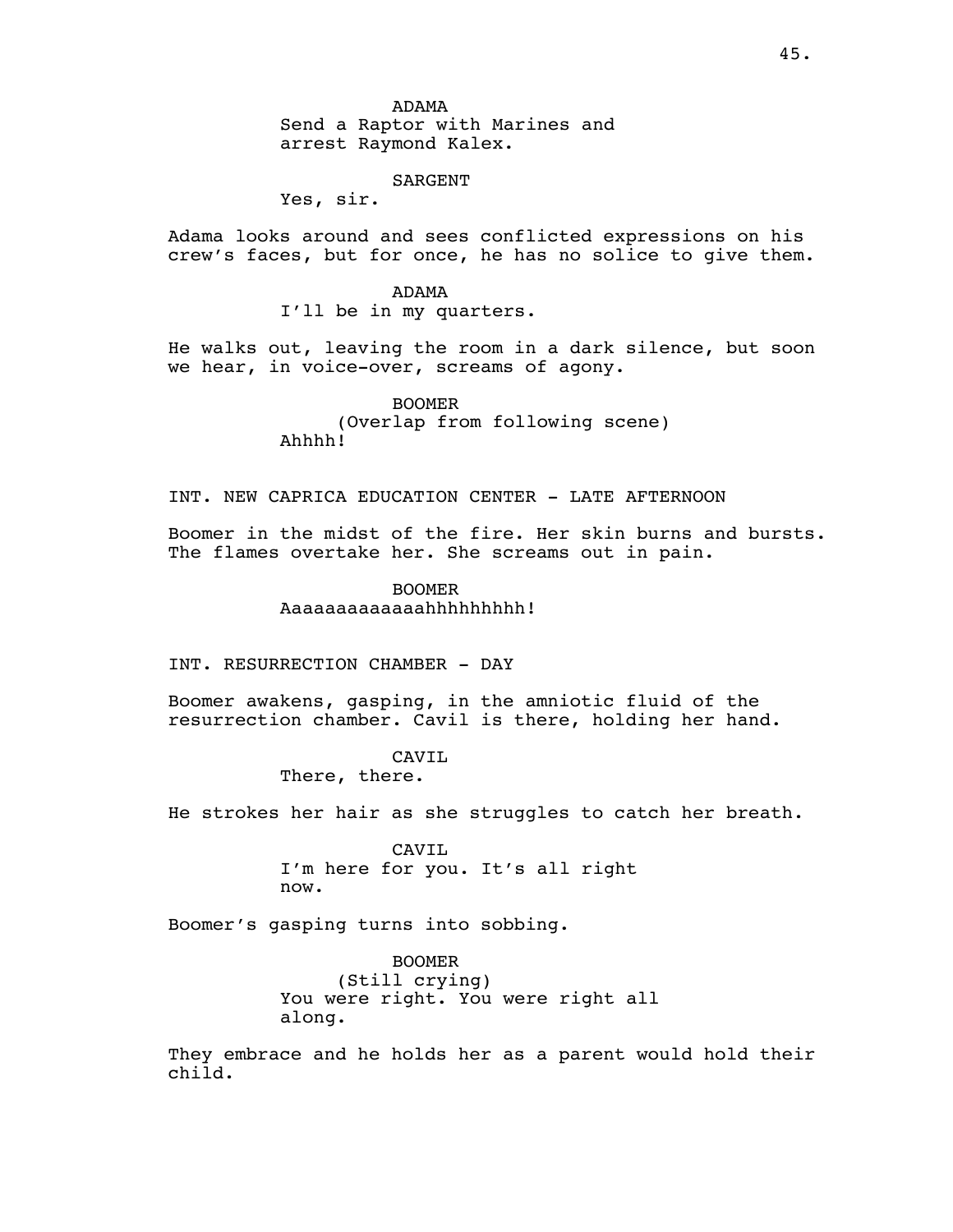ADAMA Send a Raptor with Marines and arrest Raymond Kalex.

### SARGENT

Yes, sir.

Adama looks around and sees conflicted expressions on his crew's faces, but for once, he has no solice to give them.

> ADAMA I'll be in my quarters.

He walks out, leaving the room in a dark silence, but soon we hear, in voice-over, screams of agony.

> BOOMER (Overlap from following scene) Ahhhh!

INT. NEW CAPRICA EDUCATION CENTER - LATE AFTERNOON

Boomer in the midst of the fire. Her skin burns and bursts. The flames overtake her. She screams out in pain.

> BOOMER Aaaaaaaaaaaaahhhhhhhhh!

INT. RESURRECTION CHAMBER - DAY

Boomer awakens, gasping, in the amniotic fluid of the resurrection chamber. Cavil is there, holding her hand.

# CAVIL

There, there.

He strokes her hair as she struggles to catch her breath.

CAVIL I'm here for you. It's all right now.

Boomer's gasping turns into sobbing.

BOOMER (Still crying) You were right. You were right all along.

They embrace and he holds her as a parent would hold their child.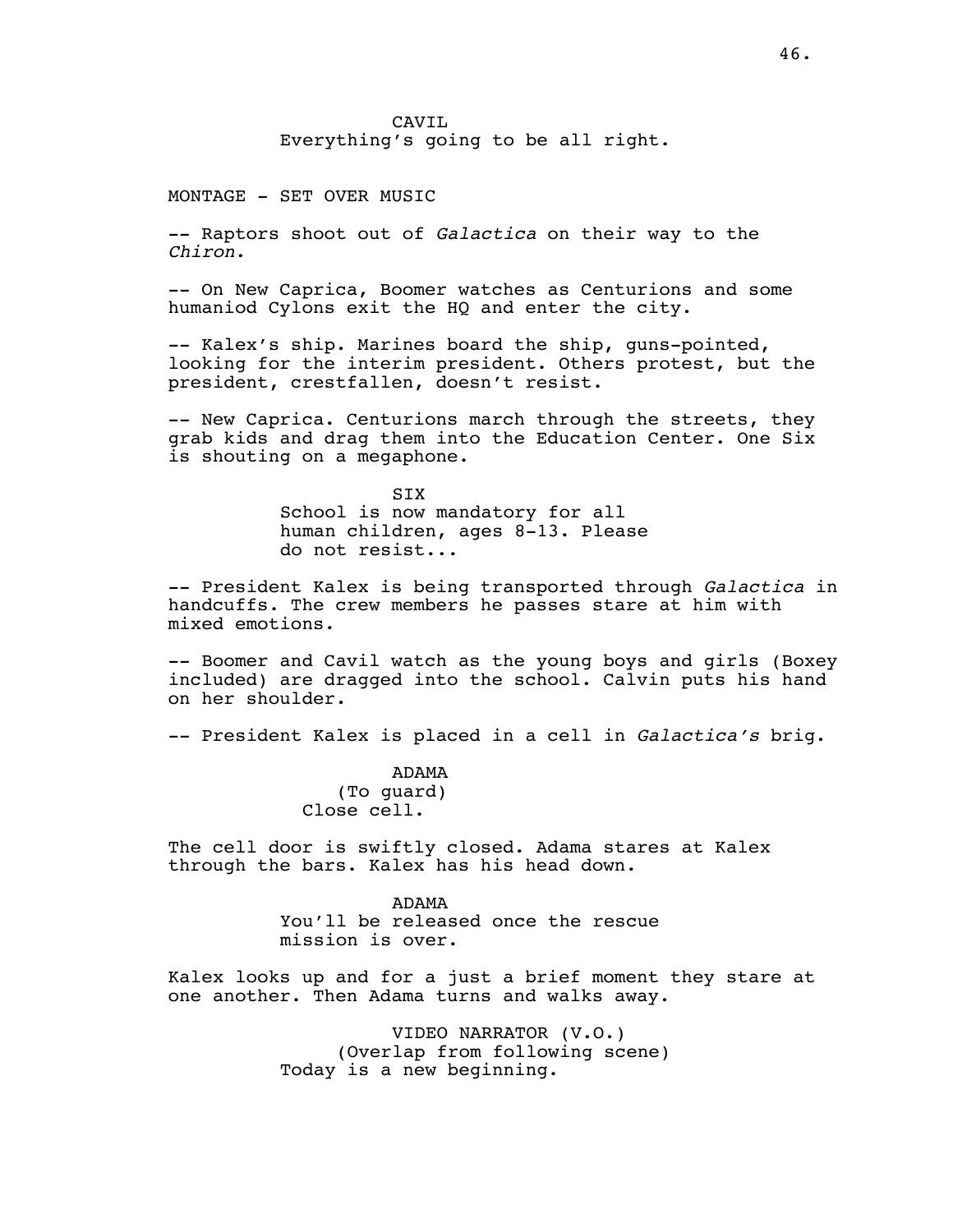CAVIL Everything's going to be all right.

MONTAGE - SET OVER MUSIC

-- Raptors shoot out of *Galactica* on their way to the *Chiron*.

-- On New Caprica, Boomer watches as Centurions and some humaniod Cylons exit the HQ and enter the city.

-- Kalex's ship. Marines board the ship, guns-pointed, looking for the interim president. Others protest, but the president, crestfallen, doesn't resist.

-- New Caprica. Centurions march through the streets, they grab kids and drag them into the Education Center. One Six is shouting on a megaphone.

> SIX School is now mandatory for all human children, ages 8-13. Please do not resist...

-- President Kalex is being transported through *Galactica* in handcuffs. The crew members he passes stare at him with mixed emotions.

-- Boomer and Cavil watch as the young boys and girls (Boxey included) are dragged into the school. Calvin puts his hand on her shoulder.

-- President Kalex is placed in a cell in *Galactica's* brig.

ADAMA (To guard) Close cell.

The cell door is swiftly closed. Adama stares at Kalex through the bars. Kalex has his head down.

> ADAMA You'll be released once the rescue mission is over.

Kalex looks up and for a just a brief moment they stare at one another. Then Adama turns and walks away.

> VIDEO NARRATOR (V.O.) (Overlap from following scene) Today is a new beginning.